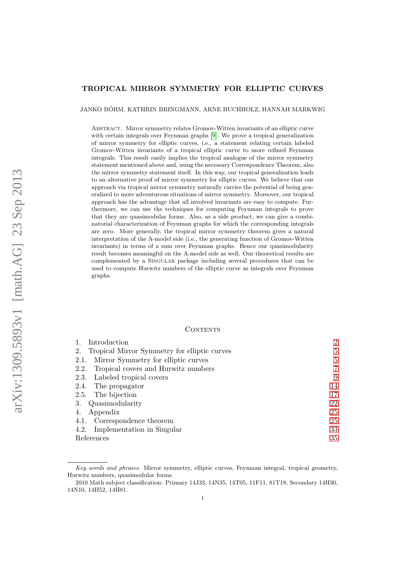## TROPICAL MIRROR SYMMETRY FOR ELLIPTIC CURVES

JANKO BÖHM, KATHRIN BRINGMANN, ARNE BUCHHOLZ, HANNAH MARKWIG

Abstract. Mirror symmetry relates Gromov-Witten invariants of an elliptic curve with certain integrals over Feynman graphs [\[9\]](#page-34-0). We prove a tropical generalization of mirror symmetry for elliptic curves, i.e., a statement relating certain labeled Gromov-Witten invariants of a tropical elliptic curve to more refined Feynman integrals. This result easily implies the tropical analogue of the mirror symmetry statement mentioned above and, using the necessary Correspondence Theorem, also the mirror symmetry statement itself. In this way, our tropical generalization leads to an alternative proof of mirror symmetry for elliptic curves. We believe that our approach via tropical mirror symmetry naturally carries the potential of being generalized to more adventurous situations of mirror symmetry. Moreover, our tropical approach has the advantage that all involved invariants are easy to compute. Furthermore, we can use the techniques for computing Feynman integrals to prove that they are quasimodular forms. Also, as a side product, we can give a combinatorial characterization of Feynman graphs for which the corresponding integrals are zero. More generally, the tropical mirror symmetry theorem gives a natural interpretation of the A-model side (i.e., the generating function of Gromov-Witten invariants) in terms of a sum over Feynman graphs. Hence our quasimodularity result becomes meaningful on the A-model side as well. Our theoretical results are complemented by a SINGULAR package including several procedures that can be used to compute Hurwitz numbers of the elliptic curve as integrals over Feynman graphs.

# CONTENTS

| Introduction                                       | $\overline{2}$ |
|----------------------------------------------------|----------------|
| Tropical Mirror Symmetry for elliptic curves<br>2. | 5              |
| Mirror Symmetry for elliptic curves<br>2.1.        | 5              |
| Tropical covers and Hurwitz numbers<br>2.2.        | $\overline{7}$ |
| 2.3. Labeled tropical covers                       | 9              |
| The propagator<br>2.4.                             | 14             |
| 2.5. The bijection                                 | 17             |
| 3. Quasimodularity                                 | 22             |
| Appendix                                           | 25             |
| 4.1. Correspondence theorem                        | 25             |
| Implementation in Singular<br>4.2.                 | 33             |
| References                                         | 35             |

Key words and phrases. Mirror symmetry, elliptic curves, Feynman integral, tropical geometry, Hurwitz numbers, quasimodular forms.

<sup>2010</sup> Math subject classification: Primary 14J33, 14N35, 14T05, 11F11, 81T18; Secondary 14H30, 14N10, 14H52, 14H81.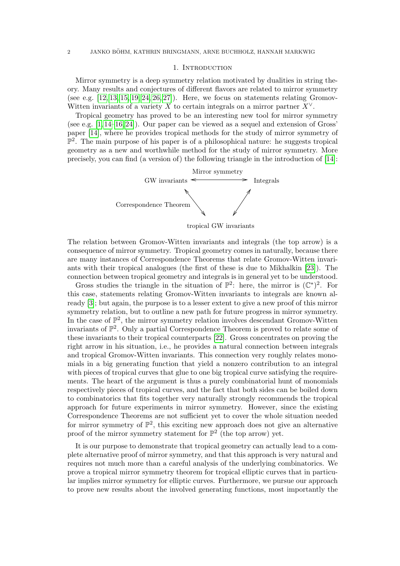## 1. INTRODUCTION

<span id="page-1-0"></span>Mirror symmetry is a deep symmetry relation motivated by dualities in string theory. Many results and conjectures of different flavors are related to mirror symmetry (see e.g.  $[12, 13, 15, 19, 24, 26, 27]$  $[12, 13, 15, 19, 24, 26, 27]$  $[12, 13, 15, 19, 24, 26, 27]$  $[12, 13, 15, 19, 24, 26, 27]$  $[12, 13, 15, 19, 24, 26, 27]$  $[12, 13, 15, 19, 24, 26, 27]$  $[12, 13, 15, 19, 24, 26, 27]$ ). Here, we focus on statements relating Gromov-Witten invariants of a variety X to certain integrals on a mirror partner  $X^{\vee}$ .

Tropical geometry has proved to be an interesting new tool for mirror symmetry (see e.g. [\[1,](#page-34-2) [14](#page-35-7)[–16,](#page-35-8) [24\]](#page-35-4)). Our paper can be viewed as a sequel and extension of Gross' paper [\[14\]](#page-35-7), where he provides tropical methods for the study of mirror symmetry of  $\mathbb{P}^2$ . The main purpose of his paper is of a philosophical nature: he suggests tropical geometry as a new and worthwhile method for the study of mirror symmetry. More precisely, you can find (a version of) the following triangle in the introduction of [\[14\]](#page-35-7):



tropical GW invariants

The relation between Gromov-Witten invariants and integrals (the top arrow) is a consequence of mirror symmetry. Tropical geometry comes in naturally, because there are many instances of Correspondence Theorems that relate Gromov-Witten invariants with their tropical analogues (the first of these is due to Mikhalkin [\[23\]](#page-35-9)). The connection between tropical geometry and integrals is in general yet to be understood.

Gross studies the triangle in the situation of  $\mathbb{P}^2$ : here, the mirror is  $(\mathbb{C}^*)^2$ . For this case, statements relating Gromov-Witten invariants to integrals are known already [\[3\]](#page-34-3); but again, the purpose is to a lesser extent to give a new proof of this mirror symmetry relation, but to outline a new path for future progress in mirror symmetry. In the case of  $\mathbb{P}^2$ , the mirror symmetry relation involves descendant Gromov-Witten invariants of  $\mathbb{P}^2$ . Only a partial Correspondence Theorem is proved to relate some of these invariants to their tropical counterparts [\[22\]](#page-35-10). Gross concentrates on proving the right arrow in his situation, i.e., he provides a natural connection between integrals and tropical Gromov-Witten invariants. This connection very roughly relates monomials in a big generating function that yield a nonzero contribution to an integral with pieces of tropical curves that glue to one big tropical curve satisfying the requirements. The heart of the argument is thus a purely combinatorial hunt of monomials respectively pieces of tropical curves, and the fact that both sides can be boiled down to combinatorics that fits together very naturally strongly recommends the tropical approach for future experiments in mirror symmetry. However, since the existing Correspondence Theorems are not sufficient yet to cover the whole situation needed for mirror symmetry of  $\mathbb{P}^2$ , this exciting new approach does not give an alternative proof of the mirror symmetry statement for  $\mathbb{P}^2$  (the top arrow) yet.

It is our purpose to demonstrate that tropical geometry can actually lead to a complete alternative proof of mirror symmetry, and that this approach is very natural and requires not much more than a careful analysis of the underlying combinatorics. We prove a tropical mirror symmetry theorem for tropical elliptic curves that in particular implies mirror symmetry for elliptic curves. Furthermore, we pursue our approach to prove new results about the involved generating functions, most importantly the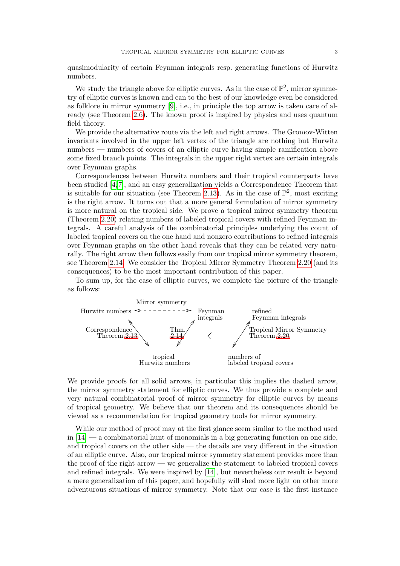quasimodularity of certain Feynman integrals resp. generating functions of Hurwitz numbers.

We study the triangle above for elliptic curves. As in the case of  $\mathbb{P}^2$ , mirror symmetry of elliptic curves is known and can to the best of our knowledge even be considered as folklore in mirror symmetry [\[9\]](#page-34-0), i.e., in principle the top arrow is taken care of already (see Theorem [2.6\)](#page-6-1). The known proof is inspired by physics and uses quantum field theory.

We provide the alternative route via the left and right arrows. The Gromov-Witten invariants involved in the upper left vertex of the triangle are nothing but Hurwitz numbers — numbers of covers of an elliptic curve having simple ramification above some fixed branch points. The integrals in the upper right vertex are certain integrals over Feynman graphs.

Correspondences between Hurwitz numbers and their tropical counterparts have been studied [\[4,](#page-34-4)[7\]](#page-34-5), and an easy generalization yields a Correspondence Theorem that is suitable for our situation (see Theorem [2.13\)](#page-8-1). As in the case of  $\mathbb{P}^2$ , most exciting is the right arrow. It turns out that a more general formulation of mirror symmetry is more natural on the tropical side. We prove a tropical mirror symmetry theorem (Theorem [2.20\)](#page-10-0) relating numbers of labeled tropical covers with refined Feynman integrals. A careful analysis of the combinatorial principles underlying the count of labeled tropical covers on the one hand and nonzero contributions to refined integrals over Feynman graphs on the other hand reveals that they can be related very naturally. The right arrow then follows easily from our tropical mirror symmetry theorem, see Theorem [2.14.](#page-8-2) We consider the Tropical Mirror Symmetry Theorem [2.20](#page-10-0) (and its consequences) to be the most important contribution of this paper.

To sum up, for the case of elliptic curves, we complete the picture of the triangle as follows:



We provide proofs for all solid arrows, in particular this implies the dashed arrow, the mirror symmetry statement for elliptic curves. We thus provide a complete and very natural combinatorial proof of mirror symmetry for elliptic curves by means of tropical geometry. We believe that our theorem and its consequences should be viewed as a recommendation for tropical geometry tools for mirror symmetry.

While our method of proof may at the first glance seem similar to the method used in  $[14]$  — a combinatorial hunt of monomials in a big generating function on one side, and tropical covers on the other side — the details are very different in the situation of an elliptic curve. Also, our tropical mirror symmetry statement provides more than the proof of the right arrow — we generalize the statement to labeled tropical covers and refined integrals. We were inspired by [\[14\]](#page-35-7), but nevertheless our result is beyond a mere generalization of this paper, and hopefully will shed more light on other more adventurous situations of mirror symmetry. Note that our case is the first instance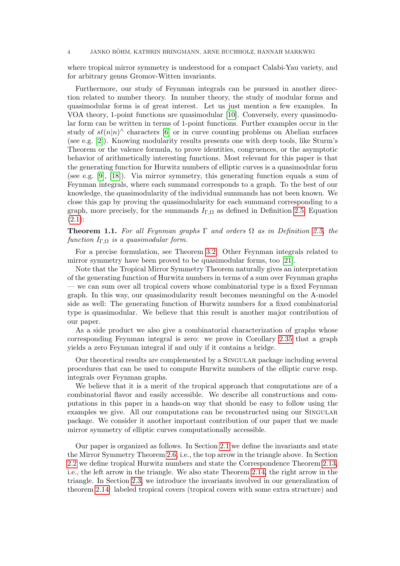#### 4 JANKO BOHM, KATHRIN BRINGMANN, ARNE BUCHHOLZ, HANNAH MARKWIG ¨

where tropical mirror symmetry is understood for a compact Calabi-Yau variety, and for arbitrary genus Gromov-Witten invariants.

Furthermore, our study of Feynman integrals can be pursued in another direction related to number theory. In number theory, the study of modular forms and quasimodular forms is of great interest. Let us just mention a few examples. In VOA theory, 1-point functions are quasimodular [\[10\]](#page-34-6). Conversely, every quasimodular form can be written in terms of 1-point functions. Further examples occur in the study of  $s\ell(n|n)$ <sup> $\wedge$ </sup> characters [\[6\]](#page-34-7) or in curve counting problems on Abelian surfaces (see e.g. [\[2\]](#page-34-8)). Knowing modularity results presents one with deep tools, like Sturm's Theorem or the valence formula, to prove identities, congruences, or the asymptotic behavior of arithmetically interesting functions. Most relevant for this paper is that the generating function for Hurwitz numbers of elliptic curves is a quasimodular form (see e.g. [\[9\]](#page-34-0), [\[18\]](#page-35-11)). Via mirror symmetry, this generating function equals a sum of Feynman integrals, where each summand corresponds to a graph. To the best of our knowledge, the quasimodularity of the individual summands has not been known. We close this gap by proving the quasimodularity for each summand corresponding to a graph, more precisely, for the summands  $I_{\Gamma,\Omega}$  as defined in Definition [2.5,](#page-5-0) Equation  $(2.1):$  $(2.1):$ 

**Theorem 1.1.** For all Feynman graphs  $\Gamma$  and orders  $\Omega$  as in Definition [2.5,](#page-5-0) the function  $I_{\Gamma,\Omega}$  is a quasimodular form.

For a precise formulation, see Theorem [3.2.](#page-21-1) Other Feynman integrals related to mirror symmetry have been proved to be quasimodular forms, too [\[21\]](#page-35-12).

Note that the Tropical Mirror Symmetry Theorem naturally gives an interpretation of the generating function of Hurwitz numbers in terms of a sum over Feynman graphs — we can sum over all tropical covers whose combinatorial type is a fixed Feynman graph. In this way, our quasimodularity result becomes meaningful on the A-model side as well: The generating function of Hurwitz numbers for a fixed combinatorial type is quasimodular. We believe that this result is another major contribution of our paper.

As a side product we also give a combinatorial characterization of graphs whose corresponding Feynman integral is zero: we prove in Corollary [2.35](#page-20-0) that a graph yields a zero Feynman integral if and only if it contains a bridge.

Our theoretical results are complemented by a Singular package including several procedures that can be used to compute Hurwitz numbers of the elliptic curve resp. integrals over Feynman graphs.

We believe that it is a merit of the tropical approach that computations are of a combinatorial flavor and easily accessible. We describe all constructions and computations in this paper in a hands-on way that should be easy to follow using the examples we give. All our computations can be reconstructed using our SINGULAR package. We consider it another important contribution of our paper that we made mirror symmetry of elliptic curves computationally accessible.

Our paper is organized as follows. In Section [2.1](#page-4-1) we define the invariants and state the Mirror Symmetry Theorem [2.6,](#page-6-1) i.e., the top arrow in the triangle above. In Section [2.2](#page-6-0) we define tropical Hurwitz numbers and state the Correspondence Theorem [2.13,](#page-8-1) i.e., the left arrow in the triangle. We also state Theorem [2.14,](#page-8-2) the right arrow in the triangle. In Section [2.3,](#page-8-0) we introduce the invariants involved in our generalization of theorem [2.14:](#page-8-2) labeled tropical covers (tropical covers with some extra structure) and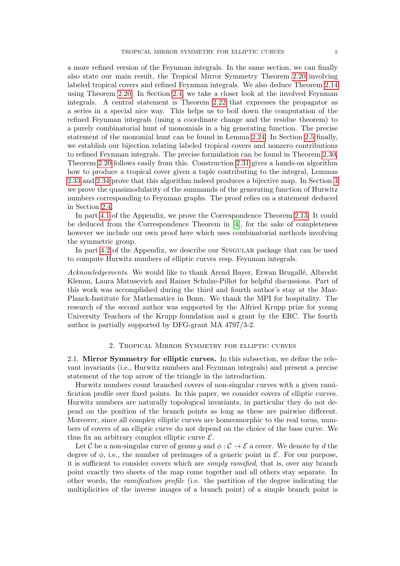a more refined version of the Feynman integrals. In the same section, we can finally also state our main result, the Tropical Mirror Symmetry Theorem [2.20](#page-10-0) involving labeled tropical covers and refined Feynman integrals. We also deduce Theorem [2.14](#page-8-2) using Theorem [2.20.](#page-10-0) In Section [2.4,](#page-13-0) we take a closer look at the involved Feynman integrals. A central statement is Theorem [2.22](#page-13-1) that expresses the propagator as a series in a special nice way. This helps us to boil down the computation of the refined Feynman integrals (using a coordinate change and the residue theorem) to a purely combinatorial hunt of monomials in a big generating function. The precise statement of the monomial hunt can be found in Lemma [2.24.](#page-15-0) In Section [2.5](#page-16-0) finally, we establish our bijection relating labeled tropical covers and nonzero contributions to refined Feynman integrals. The precise formulation can be found in Theorem [2.30,](#page-17-0) Theorem [2.20](#page-10-0) follows easily from this. Construction [2.31](#page-17-1) gives a hands-on algorithm how to produce a tropical cover given a tuple contributing to the integral, Lemmas [2.33](#page-18-0) and [2.34](#page-19-0) prove that this algorithm indeed produces a bijective map. In Section [3](#page-21-0) we prove the quasimodularity of the summands of the generating function of Hurwitz numbers corresponding to Feynman graphs. The proof relies on a statement deduced in Section [2.4.](#page-13-0)

In part [4.1](#page-24-1) of the Appendix, we prove the Correspondence Theorem [2.13.](#page-8-1) It could be deduced from the Correspondence Theorem in [\[4\]](#page-34-4), for the sake of completeness however we include our own proof here which uses combinatorial methods involving the symmetric group.

In part [4.2](#page-32-0) of the Appendix, we describe our Singular package that can be used to compute Hurwitz numbers of elliptic curves resp. Feynman integrals.

Acknowledgements. We would like to thank Arend Bayer, Erwan Brugallé, Albrecht Klemm, Laura Matusevich and Rainer Schulze-Pillot for helpful discussions. Part of this work was accomplished during the third and fourth author's stay at the Max-Planck-Institute for Mathematics in Bonn. We thank the MPI for hospitality. The research of the second author was supported by the Alfried Krupp prize for young University Teachers of the Krupp foundation and a grant by the ERC. The fourth author is partially supported by DFG-grant MA 4797/3-2.

# 2. Tropical Mirror Symmetry for elliptic curves

<span id="page-4-1"></span><span id="page-4-0"></span>2.1. Mirror Symmetry for elliptic curves. In this subsection, we define the relevant invariants (i.e., Hurwitz numbers and Feynman integrals) and present a precise statement of the top arrow of the triangle in the introduction.

Hurwitz numbers count branched covers of non-singular curves with a given ramification profile over fixed points. In this paper, we consider covers of elliptic curves. Hurwitz numbers are naturally topological invariants, in particular they do not depend on the position of the branch points as long as these are pairwise different. Moreover, since all complex elliptic curves are homeomorphic to the real torus, numbers of covers of an elliptic curve do not depend on the choice of the base curve. We thus fix an arbitrary complex elliptic curve  $\mathcal{E}$ .

Let C be a non-singular curve of genus q and  $\phi : \mathcal{C} \to \mathcal{E}$  a cover. We denote by d the degree of  $\phi$ , i.e., the number of preimages of a generic point in  $\mathcal{E}$ . For our purpose, it is sufficient to consider covers which are *simply ramified*, that is, over any branch point exactly two sheets of the map come together and all others stay separate. In other words, the ramification profile (i.e. the partition of the degree indicating the multiplicities of the inverse images of a branch point) of a simple branch point is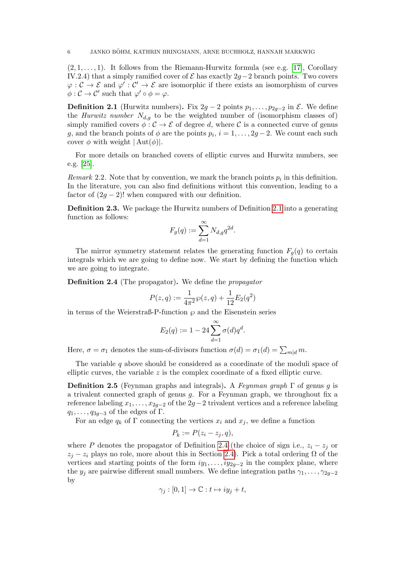$(2, 1, \ldots, 1)$ . It follows from the Riemann-Hurwitz formula (see e.g. [\[17\]](#page-35-13), Corollary IV.2.4) that a simply ramified cover of  $\mathcal E$  has exactly 2g−2 branch points. Two covers  $\varphi : \mathcal{C} \to \mathcal{E}$  and  $\varphi' : \mathcal{C}' \to \mathcal{E}$  are isomorphic if there exists an isomorphism of curves  $\phi: \mathcal{C} \to \mathcal{C}'$  such that  $\varphi' \circ \phi = \varphi$ .

<span id="page-5-1"></span>**Definition 2.1** (Hurwitz numbers). Fix 2g − 2 points  $p_1, \ldots, p_{2g-2}$  in  $\mathcal{E}$ . We define the *Hurwitz number*  $N_{d,g}$  to be the weighted number of (isomorphism classes of) simply ramified covers  $\phi : \mathcal{C} \to \mathcal{E}$  of degree d, where  $\mathcal{C}$  is a connected curve of genus g, and the branch points of  $\phi$  are the points  $p_i$ ,  $i = 1, \ldots, 2g - 2$ . We count each such cover  $\phi$  with weight  $|\text{Aut}(\phi)|$ .

For more details on branched covers of elliptic curves and Hurwitz numbers, see e.g. [\[25\]](#page-35-14).

<span id="page-5-3"></span>*Remark* 2.2. Note that by convention, we mark the branch points  $p_i$  in this definition. In the literature, you can also find definitions without this convention, leading to a factor of  $(2g - 2)!$  when compared with our definition.

Definition 2.3. We package the Hurwitz numbers of Definition [2.1](#page-5-1) into a generating function as follows:

$$
F_g(q) := \sum_{d=1}^{\infty} N_{d,g} q^{2d}.
$$

The mirror symmetry statement relates the generating function  $F<sub>g</sub>(q)$  to certain integrals which we are going to define now. We start by defining the function which we are going to integrate.

<span id="page-5-2"></span>Definition 2.4 (The propagator). We define the propagator

$$
P(z,q) := \frac{1}{4\pi^2} \wp(z,q) + \frac{1}{12} E_2(q^2)
$$

in terms of the Weierstraß-P-function  $\wp$  and the Eisenstein series

$$
E_2(q) := 1 - 24 \sum_{d=1}^{\infty} \sigma(d) q^d.
$$

Here,  $\sigma = \sigma_1$  denotes the sum-of-divisors function  $\sigma(d) = \sigma_1(d) = \sum_{m|d} m$ .

The variable q above should be considered as a coordinate of the moduli space of elliptic curves, the variable  $z$  is the complex coordinate of a fixed elliptic curve.

<span id="page-5-0"></span>**Definition 2.5** (Feynman graphs and integrals). A Feynman graph  $\Gamma$  of genus g is a trivalent connected graph of genus  $q$ . For a Feynman graph, we throughout fix a reference labeling  $x_1, \ldots, x_{2g-2}$  of the  $2g-2$  trivalent vertices and a reference labeling  $q_1, \ldots, q_{3g-3}$  of the edges of Γ.

For an edge  $q_k$  of  $\Gamma$  connecting the vertices  $x_i$  and  $x_j$ , we define a function

$$
P_k := P(z_i - z_j, q),
$$

where P denotes the propagator of Definition [2.4](#page-5-2) (the choice of sign i.e.,  $z_i - z_j$  or  $z_j - z_i$  plays no role, more about this in Section [2.4\)](#page-13-0). Pick a total ordering  $\Omega$  of the vertices and starting points of the form  $iy_1, \ldots, iy_{2q-2}$  in the complex plane, where the  $y_j$  are pairwise different small numbers. We define integration paths  $\gamma_1, \ldots, \gamma_{2g-2}$ by

$$
\gamma_j : [0,1] \to \mathbb{C} : t \mapsto iy_j + t,
$$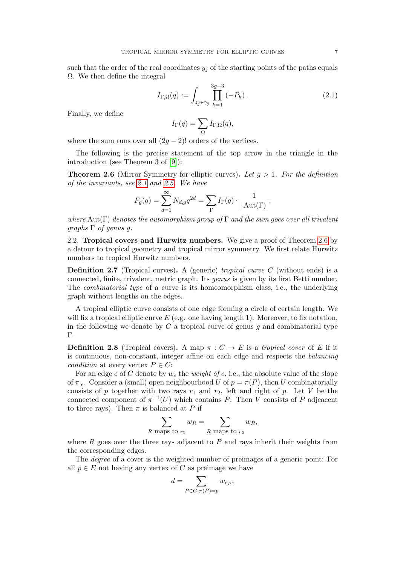such that the order of the real coordinates  $y_j$  of the starting points of the paths equals  $\Omega$ . We then define the integral

<span id="page-6-2"></span>
$$
I_{\Gamma,\Omega}(q) := \int_{z_j \in \gamma_j} \prod_{k=1}^{3g-3} (-P_k). \tag{2.1}
$$

Finally, we define

$$
I_{\Gamma}(q) = \sum_{\Omega} I_{\Gamma,\Omega}(q),
$$

where the sum runs over all  $(2g - 2)!$  orders of the vertices.

The following is the precise statement of the top arrow in the triangle in the introduction (see Theorem 3 of [\[9\]](#page-34-0)):

<span id="page-6-1"></span>**Theorem 2.6** (Mirror Symmetry for elliptic curves). Let  $g > 1$ . For the definition of the invariants, see [2.1](#page-5-1) and [2.5.](#page-5-0) We have

$$
F_g(q) = \sum_{d=1}^{\infty} N_{d,g} q^{2d} = \sum_{\Gamma} I_{\Gamma}(q) \cdot \frac{1}{|\operatorname{Aut}(\Gamma)|},
$$

where Aut(Γ) denotes the automorphism group of Γ and the sum goes over all trivalent  $graphs \Gamma$  of genus q.

<span id="page-6-0"></span>2.2. Tropical covers and Hurwitz numbers. We give a proof of Theorem [2.6](#page-6-1) by a detour to tropical geometry and tropical mirror symmetry. We first relate Hurwitz numbers to tropical Hurwitz numbers.

**Definition 2.7** (Tropical curves). A (generic) *tropical curve C* (without ends) is a connected, finite, trivalent, metric graph. Its genus is given by its first Betti number. The combinatorial type of a curve is its homeomorphism class, i.e., the underlying graph without lengths on the edges.

A tropical elliptic curve consists of one edge forming a circle of certain length. We will fix a tropical elliptic curve  $E$  (e.g. one having length 1). Moreover, to fix notation, in the following we denote by  $C$  a tropical curve of genus  $g$  and combinatorial type Γ.

<span id="page-6-3"></span>**Definition 2.8** (Tropical covers). A map  $\pi : C \to E$  is a tropical cover of E if it is continuous, non-constant, integer affine on each edge and respects the balancing condition at every vertex  $P \in C$ :

For an edge e of C denote by  $w_e$  the *weight of e*, i.e., the absolute value of the slope of  $\pi_{|e}$ . Consider a (small) open neighbourhood U of  $p = \pi(P)$ , then U combinatorially consists of p together with two rays  $r_1$  and  $r_2$ , left and right of p. Let V be the connected component of  $\pi^{-1}(U)$  which contains P. Then V consists of P adjeacent to three rays). Then  $\pi$  is balanced at P if

$$
\sum_{R \text{ maps to } r_1} w_R = \sum_{R \text{ maps to } r_2} w_R,
$$

where  $R$  goes over the three rays adjacent to  $P$  and rays inherit their weights from the corresponding edges.

The degree of a cover is the weighted number of preimages of a generic point: For all  $p \in E$  not having any vertex of C as preimage we have

$$
d = \sum_{P \in C: \pi(P) = p} w_{e_P},
$$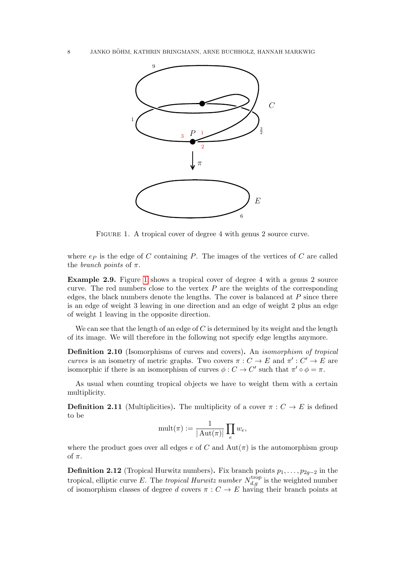

<span id="page-7-0"></span>FIGURE 1. A tropical cover of degree 4 with genus 2 source curve.

where  $e_P$  is the edge of C containing P. The images of the vertices of C are called the *branch* points of  $\pi$ .

Example 2.9. Figure [1](#page-7-0) shows a tropical cover of degree 4 with a genus 2 source curve. The red numbers close to the vertex  $P$  are the weights of the corresponding edges, the black numbers denote the lengths. The cover is balanced at  $P$  since there is an edge of weight 3 leaving in one direction and an edge of weight 2 plus an edge of weight 1 leaving in the opposite direction.

We can see that the length of an edge of  $C$  is determined by its weight and the length of its image. We will therefore in the following not specify edge lengths anymore.

Definition 2.10 (Isomorphisms of curves and covers). An isomorphism of tropical curves is an isometry of metric graphs. Two covers  $\pi: C \to E$  and  $\pi': C' \to E$  are isomorphic if there is an isomorphism of curves  $\phi : C \to C'$  such that  $\pi' \circ \phi = \pi$ .

As usual when counting tropical objects we have to weight them with a certain multiplicity.

<span id="page-7-2"></span>**Definition 2.11** (Multiplicities). The multiplicity of a cover  $\pi : C \to E$  is defined to be

$$
\textnormal{mult}(\pi) := \frac{1}{|\operatorname{Aut}(\pi)|} \prod_e w_e,
$$

where the product goes over all edges e of C and  $\text{Aut}(\pi)$  is the automorphism group of  $\pi$ .

<span id="page-7-1"></span>**Definition 2.12** (Tropical Hurwitz numbers). Fix branch points  $p_1, \ldots, p_{2g-2}$  in the tropical, elliptic curve E. The tropical Hurwitz number  $N_{d,g}^{\text{trop}}$  is the weighted number of isomorphism classes of degree d covers  $\pi : C \to E$  having their branch points at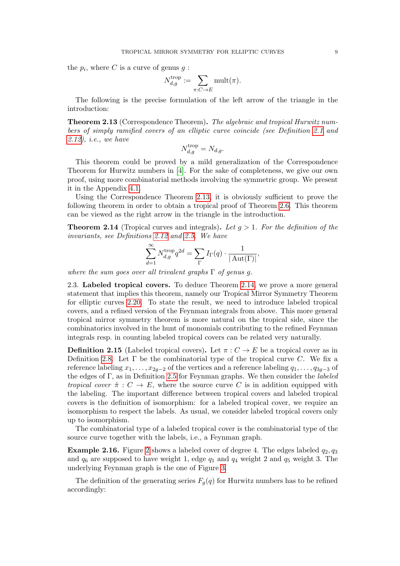the  $p_i$ , where C is a curve of genus  $g$ :

$$
N_{d,g}^{\operatorname{trop}} := \sum_{\pi: C \to E} \operatorname{mult}(\pi).
$$

The following is the precise formulation of the left arrow of the triangle in the introduction:

<span id="page-8-1"></span>Theorem 2.13 (Correspondence Theorem). The algebraic and tropical Hurwitz numbers of simply ramified covers of an elliptic curve coincide (see Definition [2.1](#page-5-1) and [2.12\)](#page-7-1), i.e., we have

$$
N_{d,g}^{\text{trop}} = N_{d,g}.
$$

This theorem could be proved by a mild generalization of the Correspondence Theorem for Hurwitz numbers in [\[4\]](#page-34-4). For the sake of completeness, we give our own proof, using more combinatorial methods involving the symmetric group. We present it in the Appendix [4.1.](#page-24-1)

Using the Correspondence Theorem [2.13,](#page-8-1) it is obviously sufficient to prove the following theorem in order to obtain a tropical proof of Theorem [2.6.](#page-6-1) This theorem can be viewed as the right arrow in the triangle in the introduction.

<span id="page-8-2"></span>**Theorem 2.14** (Tropical curves and integrals). Let  $q > 1$ . For the definition of the invariants, see Definitions [2.12](#page-7-1) and [2.5.](#page-5-0) We have

$$
\sum_{d=1}^{\infty} N_{d,g}^{\text{trop}} q^{2d} = \sum_{\Gamma} I_{\Gamma}(q) \cdot \frac{1}{|\operatorname{Aut}(\Gamma)|},
$$

where the sum goes over all trivalent graphs  $\Gamma$  of genus q.

<span id="page-8-0"></span>2.3. Labeled tropical covers. To deduce Theorem [2.14,](#page-8-2) we prove a more general statement that implies this theorem, namely our Tropical Mirror Symmetry Theorem for elliptic curves [2.20.](#page-10-0) To state the result, we need to introduce labeled tropical covers, and a refined version of the Feynman integrals from above. This more general tropical mirror symmetry theorem is more natural on the tropical side, since the combinatorics involved in the hunt of monomials contributing to the refined Feynman integrals resp. in counting labeled tropical covers can be related very naturally.

<span id="page-8-3"></span>**Definition 2.15** (Labeled tropical covers). Let  $\pi: C \to E$  be a tropical cover as in Definition [2.8.](#page-6-3) Let  $\Gamma$  be the combinatorial type of the tropical curve C. We fix a reference labeling  $x_1, \ldots, x_{2q-2}$  of the vertices and a reference labeling  $q_1, \ldots, q_{3q-3}$  of the edges of  $\Gamma$ , as in Definition [2.5](#page-5-0) for Feynman graphs. We then consider the *labeled* tropical cover  $\hat{\pi}: C \to E$ , where the source curve C is in addition equipped with the labeling. The important difference between tropical covers and labeled tropical covers is the definition of isomorphism: for a labeled tropical cover, we require an isomorphism to respect the labels. As usual, we consider labeled tropical covers only up to isomorphism.

The combinatorial type of a labeled tropical cover is the combinatorial type of the source curve together with the labels, i.e., a Feynman graph.

**Example [2](#page-9-0).16.** Figure 2 shows a labeled cover of degree 4. The edges labeled  $q_2, q_3$ and  $q_6$  are supposed to have weight 1, edge  $q_1$  and  $q_4$  weight 2 and  $q_5$  weight 3. The underlying Feynman graph is the one of Figure [3.](#page-10-1)

The definition of the generating series  $F_q(q)$  for Hurwitz numbers has to be refined accordingly: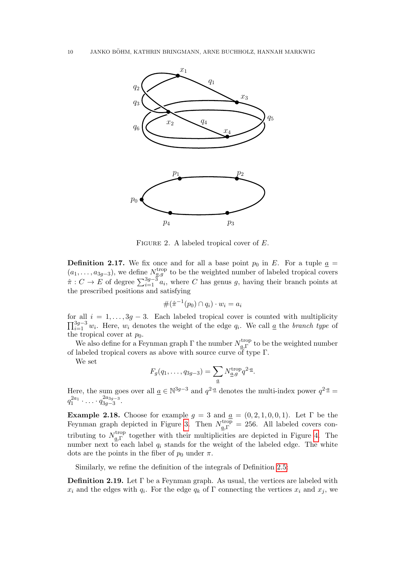

FIGURE 2. A labeled tropical cover of  $E$ .

<span id="page-9-2"></span><span id="page-9-0"></span>**Definition 2.17.** We fix once and for all a base point  $p_0$  in E. For a tuple  $a =$  $(a_1, \ldots, a_{3g-3})$ , we define  $N_{a,g}^{\text{trop}}$  to be the weighted number of labeled tropical covers  $\hat{\pi}: C \to E$  of degree  $\sum_{i=1}^{3g-3} a_i$ , where C has genus g, having their branch points at the prescribed positions and satisfying

$$
\#(\hat{\pi}^{-1}(p_0) \cap q_i) \cdot w_i = a_i
$$

for all  $i = 1, \ldots, 3g - 3$ . Each labeled tropical cover is counted with multiplicity  $\prod_{i=1}^{3g-3} w_i$ . Here,  $w_i$  denotes the weight of the edge  $q_i$ . We call <u>a</u> the *branch type* of the tropical cover at  $p_0$ .

We also define for a Feynman graph  $\Gamma$  the number  $N_a^{\text{trop}}$ <sup>trop</sup> to be the weighted number of labeled tropical covers as above with source curve of type  $\Gamma$ .

We set

$$
F_g(q_1,\ldots,q_{3g-3})=\sum_{\underline{a}}N_{\underline{a},g}^{\text{trop}}q^{2\cdot\underline{a}}.
$$

Here, the sum goes over all  $\underline{a} \in \mathbb{N}^{3g-3}$  and  $q^{2} \underline{a}$  denotes the multi-index power  $q^{2} \underline{a}$  $q_{1}^{2a_{1}}\cdot\ldots\cdot q_{3g-3}^{2a_{3g-3}}$  $\zeta_{3g-3}^{2u_{3g-3}}.$ 

<span id="page-9-3"></span>Example 2.18. Choose for example  $g = 3$  and  $g = (0, 2, 1, 0, 0, 1)$ . Let  $\Gamma$  be the Feynman graph depicted in Figure [3.](#page-10-1) Then  $N_{a,\Gamma}^{\text{trop}} = 256$ . All labeled covers contributing to  $N_{a\,\Gamma}^{\text{trop}}$ <sup>trop</sup> together with their multiplicities are depicted in Figure [4.](#page-11-0) The number next to each label  $q_i$  stands for the weight of the labeled edge. The white dots are the points in the fiber of  $p_0$  under  $\pi$ .

Similarly, we refine the definition of the integrals of Definition [2.5:](#page-5-0)

<span id="page-9-1"></span>Definition 2.19. Let Γ be a Feynman graph. As usual, the vertices are labeled with  $x_i$  and the edges with  $q_i$ . For the edge  $q_k$  of  $\Gamma$  connecting the vertices  $x_i$  and  $x_j$ , we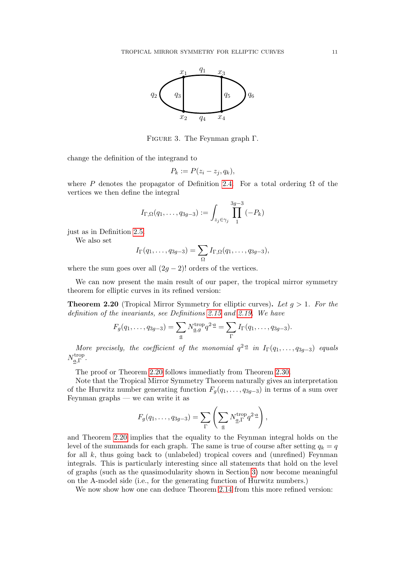

Figure 3. The Feynman graph Γ.

<span id="page-10-1"></span>change the definition of the integrand to

$$
P_k := P(z_i - z_j, q_k),
$$

where P denotes the propagator of Definition [2.4.](#page-5-2) For a total ordering  $\Omega$  of the vertices we then define the integral

$$
I_{\Gamma,\Omega}(q_1,\ldots,q_{3g-3}) := \int_{z_j \in \gamma_j} \prod_1^{3g-3} (-P_k)
$$

just as in Definition [2.5.](#page-5-0)

We also set

$$
I_{\Gamma}(q_1,\ldots,q_{3g-3}) = \sum_{\Omega} I_{\Gamma,\Omega}(q_1,\ldots,q_{3g-3}),
$$

where the sum goes over all  $(2q - 2)!$  orders of the vertices.

We can now present the main result of our paper, the tropical mirror symmetry theorem for elliptic curves in its refined version:

<span id="page-10-0"></span>**Theorem 2.20** (Tropical Mirror Symmetry for elliptic curves). Let  $g > 1$ . For the definition of the invariants, see Definitions [2.15](#page-8-3) and [2.19.](#page-9-1) We have

$$
F_g(q_1,\ldots,q_{3g-3})=\sum_{\underline{a}}N_{\underline{a},g}^{\text{trop}}q^{2\cdot \underline{a}}=\sum_{\Gamma}I_{\Gamma}(q_1,\ldots,q_{3g-3}).
$$

More precisely, the coefficient of the monomial  $q^{2} \triangleq in$   $I_{\Gamma}(q_1,\ldots,q_{3g-3})$  equals  $N_{a}^{\text{trop}}$ ∙τrop<br><u>α</u>,Γ •

The proof or Theorem [2.20](#page-10-0) follows immediatly from Theorem [2.30.](#page-17-0)

Note that the Tropical Mirror Symmetry Theorem naturally gives an interpretation of the Hurwitz number generating function  $F_g(q_1, \ldots, q_{3g-3})$  in terms of a sum over Feynman graphs — we can write it as

$$
F_g(q_1,\ldots,q_{3g-3})=\sum_{\Gamma}\left(\sum_{\underline{a}}N_{\underline{a},\Gamma}^{\text{trop}}q^{2\cdot\underline{a}}\right),\,
$$

and Theorem [2.20](#page-10-0) implies that the equality to the Feynman integral holds on the level of the summands for each graph. The same is true of course after setting  $q_k = q$ for all  $k$ , thus going back to (unlabeled) tropical covers and (unrefined) Feynman integrals. This is particularly interesting since all statements that hold on the level of graphs (such as the quasimodularity shown in Section [3\)](#page-21-0) now become meaningful on the A-model side (i.e., for the generating function of Hurwitz numbers.)

We now show how one can deduce Theorem [2.14](#page-8-2) from this more refined version: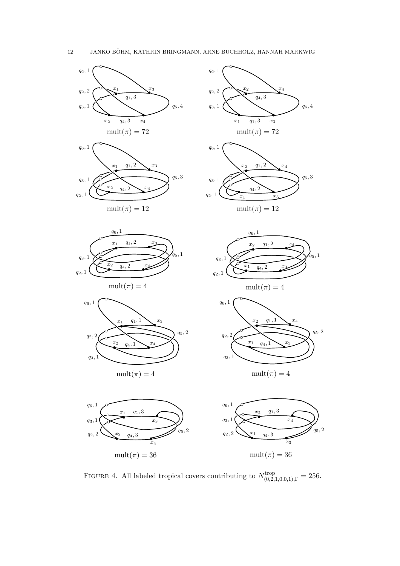

q5, 2

q5, 2

<span id="page-11-0"></span>FIGURE 4. All labeled tropical covers contributing to  $N_{(0,2,1,0,0,1),\Gamma}^{\text{trop}} = 256$ .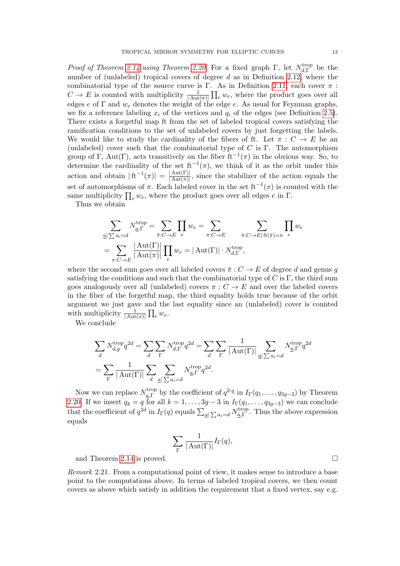*Proof of Theorem [2.14](#page-8-2) using Theorem [2.20.](#page-10-0)* For a fixed graph  $\Gamma$ , let  $N_{d,\Gamma}^{\text{trop}}$  $d, \Gamma$  be the number of (unlabeled) tropical covers of degree  $d$  as in Definition [2.12,](#page-7-1) where the combinatorial type of the source curve is Γ. As in Definition [2.11,](#page-7-2) each cover  $\pi$ :  $C \to E$  is counted with multiplicity  $\frac{1}{|\text{Aut}(\pi)|} \prod_e w_e$ , where the product goes over all edges e of  $\Gamma$  and  $w_e$  denotes the weight of the edge e. As usual for Feynman graphs, we fix a reference labeling  $x_i$  of the vertices and  $q_i$  of the edges (see Definition [2.5\)](#page-5-0). There exists a forgetful map ft from the set of labeled tropical covers satisfying the ramification conditions to the set of unlabeled covers by just forgetting the labels. We would like to study the cardinality of the fibers of ft. Let  $\pi : C \to E$  be an (unlabeled) cover such that the combinatorial type of C is  $\Gamma$ . The automorphism group of  $\Gamma$ , Aut( $\Gamma$ ), acts transitively on the fiber ft<sup>-1</sup>( $\pi$ ) in the obvious way. So, to determine the cardinality of the set  $ft^{-1}(\pi)$ , we think of it as the orbit under this action and obtain  $|f t^{-1}(\pi)| = \frac{|\mathrm{Aut}(\Gamma)|}{|\mathrm{Aut}(\pi)|}$  $\frac{|Aut(I)|}{|Aut(\pi)|}$ , since the stabilizer of the action equals the set of automorphisms of  $\pi$ . Each labeled cover in the set  $ft^{-1}(\pi)$  is counted with the same multiplicity  $\prod_e w_e$ , where the product goes over all edges  $e$  in  $\Gamma$ .

Thus we obtain

$$
\sum_{\underline{a}|\sum a_i=d} N_{\underline{a},\Gamma}^{\text{trop}} = \sum_{\hat{\pi}:C\to E} \prod_{e} w_e = \sum_{\pi:C\to E} \sum_{\hat{\pi}:C\to E|\text{ft}(\hat{\pi})=\pi} \prod_{e} w_e
$$
\n
$$
= \sum_{\pi:C\to E} \frac{|\text{Aut}(\Gamma)|}{|\text{Aut}(\pi)|} \prod_{e} w_e = |\text{Aut}(\Gamma)| \cdot N_{d,\Gamma}^{\text{trop}},
$$

where the second sum goes over all labeled covers  $\hat{\pi}: C \to E$  of degree d and genus a satisfying the conditions and such that the combinatorial type of  $C$  is  $\Gamma$ , the third sum goes analogously over all (unlabeled) covers  $\pi : C \to E$  and over the labeled covers in the fiber of the forgetful map, the third equality holds true because of the orbit argument we just gave and the last equality since an (unlabeled) cover is counted with multiplicity  $\frac{1}{|\mathrm{Aut}(\pi)|} \prod_e w_e$ .

We conclude

$$
\sum_{d} N_{d,g}^{\text{trop}} q^{2d} = \sum_{d} \sum_{\Gamma} N_{d,\Gamma}^{\text{trop}} q^{2d} = \sum_{d} \sum_{\Gamma} \frac{1}{|\operatorname{Aut}(\Gamma)|} \sum_{\underline{a}|\sum a_i=d} N_{\underline{a},\Gamma}^{\text{trop}} q^{2d}
$$

$$
= \sum_{\Gamma} \frac{1}{|\operatorname{Aut}(\Gamma)|} \sum_{d} \sum_{\underline{a}|\sum a_i=d} N_{\underline{a},\Gamma}^{\text{trop}} q^{2d}.
$$

Now we can replace  $N_{a}^{\text{trop}}$ <sup>trop</sup> by the coefficient of  $q^{2 \cdot \underline{a}}$  in  $I_{\Gamma}(q_1,\ldots,q_{3g-3})$  by Theorem [2.20.](#page-10-0) If we insert  $q_k = q$  for all  $k = 1, \ldots, 3g - 3$  in  $I_{\Gamma}(q_1, \ldots, q_{3g-3})$  we can conclude that the coefficient of  $q^{2d}$  in  $I_{\Gamma}(q)$  equals  $\sum_{\underline{a}} \sum_{i=1}^{\infty} N^{\text{trop}}_{\underline{a},\Gamma}$ <sup>trop</sup>. Thus the above expression equals

$$
\sum_{\Gamma} \frac{1}{|\operatorname{Aut}(\Gamma)|} I_{\Gamma}(q),
$$

and Theorem [2.14](#page-8-2) is proved.

Remark 2.21. From a computational point of view, it makes sense to introduce a base point to the computations above. In terms of labeled tropical covers, we then count covers as above which satisfy in addition the requirement that a fixed vertex, say e.g.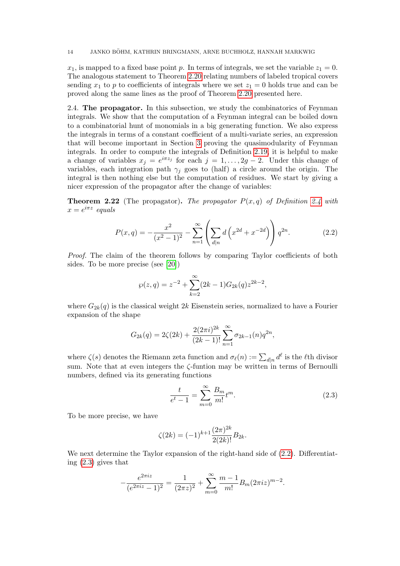$x_1$ , is mapped to a fixed base point p. In terms of integrals, we set the variable  $z_1 = 0$ . The analogous statement to Theorem [2.20](#page-10-0) relating numbers of labeled tropical covers sending  $x_1$  to p to coefficients of integrals where we set  $z_1 = 0$  holds true and can be proved along the same lines as the proof of Theorem [2.20](#page-10-0) presented here.

<span id="page-13-0"></span>2.4. The propagator. In this subsection, we study the combinatorics of Feynman integrals. We show that the computation of a Feynman integral can be boiled down to a combinatorial hunt of monomials in a big generating function. We also express the integrals in terms of a constant coefficient of a multi-variate series, an expression that will become important in Section [3](#page-21-0) proving the quasimodularity of Feynman integrals. In order to compute the integrals of Definition [2.19,](#page-9-1) it is helpful to make a change of variables  $x_j = e^{i\pi z_j}$  for each  $j = 1, ..., 2g - 2$ . Under this change of variables, each integration path  $\gamma_j$  goes to (half) a circle around the origin. The integral is then nothing else but the computation of residues. We start by giving a nicer expression of the propagator after the change of variables:

<span id="page-13-1"></span>**Theorem 2.22** (The propagator). The propagator  $P(x,q)$  of Definition [2.4](#page-5-2) with  $x=e^{i\pi z}$  equals

<span id="page-13-2"></span>
$$
P(x,q) = -\frac{x^2}{(x^2 - 1)^2} - \sum_{n=1}^{\infty} \left( \sum_{d|n} d\left(x^{2d} + x^{-2d}\right) \right) q^{2n}.
$$
 (2.2)

Proof. The claim of the theorem follows by comparing Taylor coefficients of both sides. To be more precise (see [\[20\]](#page-35-15))

$$
\wp(z,q) = z^{-2} + \sum_{k=2}^{\infty} (2k-1)G_{2k}(q)z^{2k-2},
$$

where  $G_{2k}(q)$  is the classical weight  $2k$  Eisenstein series, normalized to have a Fourier expansion of the shape

$$
G_{2k}(q) = 2\zeta(2k) + \frac{2(2\pi i)^{2k}}{(2k-1)!} \sum_{n=1}^{\infty} \sigma_{2k-1}(n) q^{2n},
$$

where  $\zeta(s)$  denotes the Riemann zeta function and  $\sigma_{\ell}(n) := \sum_{d|n} d^{\ell}$  is the  $\ell$ th divisor sum. Note that at even integers the ζ-funtion may be written in terms of Bernoulli numbers, defined via its generating functions

<span id="page-13-3"></span>
$$
\frac{t}{e^t - 1} = \sum_{m=0}^{\infty} \frac{B_m}{m!} t^m.
$$
 (2.3)

To be more precise, we have

$$
\zeta(2k) = (-1)^{k+1} \frac{(2\pi)^{2k}}{2(2k)!} B_{2k}.
$$

We next determine the Taylor expansion of the right-hand side of [\(2.2\)](#page-13-2). Differentiating [\(2.3\)](#page-13-3) gives that

$$
-\frac{e^{2\pi i z}}{(e^{2\pi i z}-1)^2}=\frac{1}{(2\pi z)^2}+\sum_{m=0}^{\infty}\frac{m-1}{m!}B_m(2\pi i z)^{m-2}.
$$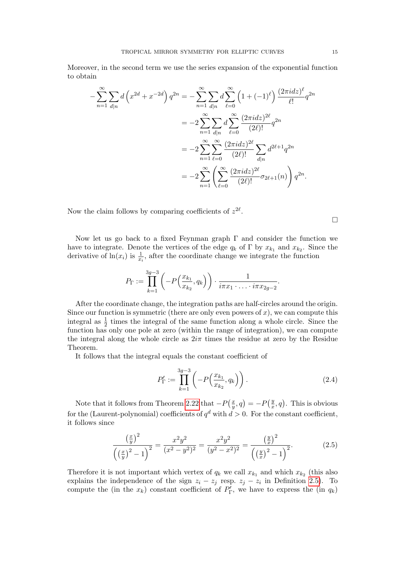Moreover, in the second term we use the series expansion of the exponential function to obtain

$$
-\sum_{n=1}^{\infty} \sum_{d|n} d\left(x^{2d} + x^{-2d}\right) q^{2n} = -\sum_{n=1}^{\infty} \sum_{d|n} d\sum_{\ell=0}^{\infty} \left(1 + (-1)^{\ell}\right) \frac{(2\pi i dz)^{\ell}}{\ell!} q^{2n}
$$

$$
= -2\sum_{n=1}^{\infty} \sum_{d|n} d\sum_{\ell=0}^{\infty} \frac{(2\pi i dz)^{2\ell}}{(2\ell)!} q^{2n}
$$

$$
= -2\sum_{n=1}^{\infty} \sum_{\ell=0}^{\infty} \frac{(2\pi i dz)^{2\ell}}{(2\ell)!} \sum_{d|n} d^{2\ell+1} q^{2n}
$$

$$
= -2\sum_{n=1}^{\infty} \left(\sum_{\ell=0}^{\infty} \frac{(2\pi i dz)^{2\ell}}{(2\ell)!} \sigma_{2\ell+1}(n)\right) q^{2n}.
$$

Now the claim follows by comparing coefficients of  $z^{2\ell}$ .

 $\Box$ 

Now let us go back to a fixed Feynman graph  $\Gamma$  and consider the function we have to integrate. Denote the vertices of the edge  $q_k$  of  $\Gamma$  by  $x_{k_1}$  and  $x_{k_2}$ . Since the derivative of  $ln(x_i)$  is  $\frac{1}{x_i}$ , after the coordinate change we integrate the function

$$
P_{\Gamma} := \prod_{k=1}^{3g-3} \left( -P\left(\frac{x_{k_1}}{x_{k_2}}, q_k\right) \right) \cdot \frac{1}{i\pi x_1 \cdot \ldots \cdot i\pi x_{2g-2}}.
$$

After the coordinate change, the integration paths are half-circles around the origin. Since our function is symmetric (there are only even powers of  $x$ ), we can compute this integral as  $\frac{1}{2}$  times the integral of the same function along a whole circle. Since the function has only one pole at zero (within the range of integration), we can compute the integral along the whole circle as  $2i\pi$  times the residue at zero by the Residue Theorem.

It follows that the integral equals the constant coefficient of

<span id="page-14-1"></span>
$$
P_{\Gamma}' := \prod_{k=1}^{3g-3} \left( -P\left(\frac{x_{k_1}}{x_{k_2}}, q_k\right) \right).
$$
 (2.4)

Note that it follows from Theorem [2.22](#page-13-1) that  $-P\left(\frac{x}{n}\right)$  $(\frac{x}{y}, q) = -P(\frac{y}{x})$  $(\frac{y}{x}, q)$ . This is obvious for the (Laurent-polynomial) coefficients of  $q^d$  with  $d > 0$ . For the constant coefficient, it follows since

<span id="page-14-0"></span>
$$
\frac{\left(\frac{x}{y}\right)^2}{\left(\left(\frac{x}{y}\right)^2 - 1\right)^2} = \frac{x^2 y^2}{(x^2 - y^2)^2} = \frac{x^2 y^2}{(y^2 - x^2)^2} = \frac{\left(\frac{y}{x}\right)^2}{\left(\left(\frac{y}{x}\right)^2 - 1\right)^2}.
$$
\n(2.5)

Therefore it is not important which vertex of  $q_k$  we call  $x_{k_1}$  and which  $x_{k_2}$  (this also explains the independence of the sign  $z_i - z_j$  resp.  $z_j - z_i$  in Definition [2.5\)](#page-5-0). To compute the (in the  $x_k$ ) constant coefficient of  $P'_{\Gamma}$ , we have to express the (in  $q_k$ )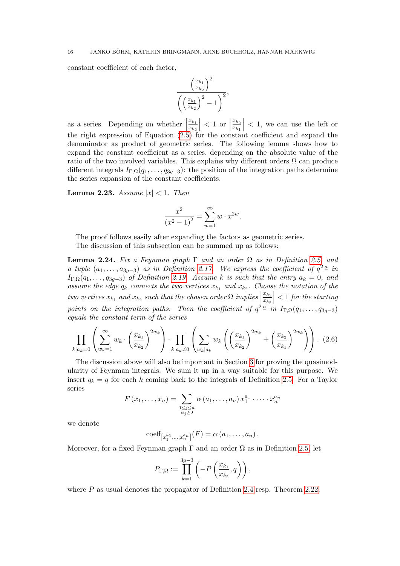constant coefficient of each factor,

$$
\frac{\left(\frac{x_{k_1}}{x_{k_2}}\right)^2}{\left(\left(\frac{x_{k_1}}{x_{k_2}}\right)^2 - 1\right)^2},
$$

as a series. Depending on whether  $\begin{bmatrix} 1 & 1 \\ 1 & 1 \end{bmatrix}$  $\frac{x_{k_1}}{k_1}$  $\overline{x_{k_2}}$  $\vert$  < 1 or  $\vert$  $x_{k_2}$  $\overline{x_{k_1}}$  $\vert$  < 1, we can use the left or the right expression of Equation [\(2.5\)](#page-14-0) for the constant coefficient and expand the denominator as product of geometric series. The following lemma shows how to expand the constant coefficient as a series, depending on the absolute value of the ratio of the two involved variables. This explains why different orders  $\Omega$  can produce different integrals  $I_{\Gamma,\Omega}(q_1,\ldots,q_{3g-3})$ : the position of the integration paths determine the series expansion of the constant coefficients.

<span id="page-15-2"></span>**Lemma 2.23.** Assume  $|x| < 1$ . Then

$$
\frac{x^2}{(x^2 - 1)^2} = \sum_{w=1}^{\infty} w \cdot x^{2w}.
$$

The proof follows easily after expanding the factors as geometric series. The discussion of this subsection can be summed up as follows:

<span id="page-15-0"></span>Lemma 2.24. Fix a Feynman graph  $\Gamma$  and an order  $\Omega$  as in Definition [2.5,](#page-5-0) and a tuple  $(a_1, \ldots, a_{3g-3})$  as in Definition [2.17.](#page-9-2) We express the coefficient of  $q^{2 \cdot \underline{a}}$  in  $I_{\Gamma,\Omega}(q_1,\ldots,q_{3q-3})$  of Definition [2.19.](#page-9-1) Assume k is such that the entry  $a_k=0$ , and assume the edge  $q_k$  connects the two vertices  $x_{k_1}$  and  $x_{k_2}$ . Choose the notation of the two vertices  $x_{k_1}$  and  $x_{k_2}$  such that the chosen order  $\Omega$  implies  $\frac{x_{k_1}}{k_1}$  $\overline{x_{k_2}}$  $\vert$  < 1 for the starting points on the integration paths. Then the coefficient of  $q^2 \triangleq in \ I_{\Gamma,\Omega}(q_1,\ldots,q_{3g-3})$ equals the constant term of the series

<span id="page-15-1"></span>
$$
\prod_{k|a_k=0} \left( \sum_{w_k=1}^{\infty} w_k \cdot \left( \frac{x_{k_1}}{x_{k_2}} \right)^{2w_k} \right) \cdot \prod_{k|a_k \neq 0} \left( \sum_{w_k|a_k} w_k \left( \left( \frac{x_{k_1}}{x_{k_2}} \right)^{2w_k} + \left( \frac{x_{k_2}}{x_{k_1}} \right)^{2w_k} \right) \right) . \tag{2.6}
$$

The discussion above will also be important in Section [3](#page-21-0) for proving the quasimodularity of Feynman integrals. We sum it up in a way suitable for this purpose. We insert  $q_k = q$  for each k coming back to the integrals of Definition [2.5.](#page-5-0) For a Taylor series

$$
F(x_1,\ldots,x_n)=\sum_{\substack{1\leq j\leq n\\ \alpha_j\geq 0}}\alpha(a_1,\ldots,a_n)\,x_1^{a_1}\cdot\cdots\cdot x_n^{a_n}
$$

we denote

$$
coeff[x1a1,...,xnan](F) = \alpha (a1,...,an).
$$

Moreover, for a fixed Feynman graph  $\Gamma$  and an order  $\Omega$  as in Definition [2.5,](#page-5-0) let

$$
P_{\Gamma,\Omega} := \prod_{k=1}^{3g-3} \left( -P\left(\frac{x_{k_1}}{x_{k_2}}, q\right) \right),\,
$$

where  $P$  as usual denotes the propagator of Definition [2.4](#page-5-2) resp. Theorem [2.22.](#page-13-1)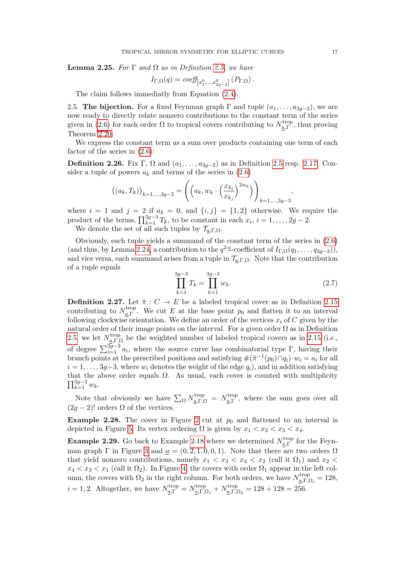<span id="page-16-4"></span>**Lemma 2.25.** For  $\Gamma$  and  $\Omega$  as in Definition [2.5,](#page-5-0) we have

$$
I_{\Gamma,\Omega}(q) = \text{coeff}_{\left[x_1^0,\ldots,x_{2g-2}^0\right]}(P_{\Gamma,\Omega}).
$$

The claim follows immediatly from Equation [\(2.4\)](#page-14-1).

<span id="page-16-0"></span>2.5. The bijection. For a fixed Feynman graph  $\Gamma$  and tuple  $(a_1, \ldots, a_{3q-3})$ , we are now ready to directly relate nonzero contributions to the constant term of the series given in [\(2.6\)](#page-15-1) for each order  $\Omega$  to tropical covers contributing to  $N_a^{\text{trop}}$  $\frac{a}{a}$ , thus proving Theorem [2.20.](#page-10-0)

We express the constant term as a sum over products containing one term of each factor of the series in [\(2.6\)](#page-15-1):

<span id="page-16-2"></span>**Definition 2.26.** Fix Γ, Ω and  $(a_1, \ldots, a_{3g-3})$  as in Definition [2.5](#page-5-0) resp. [2.17.](#page-9-2) Consider a tuple of powers  $a_k$  and terms of the series in  $(2.6)$ 

$$
((a_k, T_k))_{k=1,\dots,3g-3} = \left( \left( a_k, w_k \cdot \left( \frac{x_{k_i}}{x_{k_j}} \right)^{2w_k} \right) \right)_{k=1,\dots,3g-3}
$$

where  $i = 1$  and  $j = 2$  if  $a_k = 0$ , and  $\{i, j\} = \{1, 2\}$  otherwise. We require the product of the terms,  $\prod_{k=1}^{3g-3} T_k$ , to be constant in each  $x_i$ ,  $i = 1, \ldots, 2g-2$ .

We denote the set of all such tuples by  $\mathcal{T}_{a,\Gamma,\Omega}$ .

Obviously, each tuple yields a summand of the constant term of the series in [\(2.6\)](#page-15-1) (and thus, by Lemma [2.24,](#page-15-0) a contribution to the  $q^2$ <sup>-*a*</sup>-coefficient of  $I_{\Gamma,\Omega}(q_1,\ldots,q_{3g-3})$ ), and vice versa, each summand arises from a tuple in  $\mathcal{T}_{a,\Gamma,\Omega}$ . Note that the contribution of a tuple equals

<span id="page-16-3"></span>
$$
\prod_{k=1}^{3g-3} T_k = \prod_{k=1}^{3g-3} w_k.
$$
\n(2.7)

,

<span id="page-16-1"></span>**Definition 2.27.** Let  $\hat{\pi}: C \to E$  be a labeled tropical cover as in Definition [2.15](#page-8-3) contributing to  $N_{a\,\Gamma}^{\text{trop}}$ <sup>trop</sup>. We cut E at the base point  $p_0$  and flatten it to an interval following clockwise orientation. We define an order of the vertices  $x_i$  of C given by the natural order of their image points on the interval. For a given order  $\Omega$  as in Definition [2.5,](#page-5-0) we let  $N_{a\ \Gamma}^{\text{trop}}$  $\frac{\text{trop}}{\underline{a}, \Gamma, \Omega}$  be the weighted number of labeled tropical covers as in [2.15](#page-8-3) (i.e., of degree  $\sum_{i=1}^{3g-3} a_i$ , where the source curve has combinatorial type Γ, having their branch points at the prescribed positions and satisfying  $\#(\hat{\pi}^{-1}(p_0)\cap q_i)\cdot w_i = a_i$  for all  $i = 1, \ldots, 3q-3$ , where  $w_i$  denotes the weight of the edge  $q_i$ ), and in addition satisfying that the above order equals  $\Omega$ . As usual, each cover is counted with multiplicity  $\prod_{k=1}^{3g-3} w_k$ .

Note that obviously we have  $\sum_{\Omega} N_{a,\Gamma,\Omega}^{\text{trop}} = N_{a,\Gamma}^{\text{trop}}$ <sup>trop</sup>, where the sum goes over all  $(2q - 2)!$  orders  $\Omega$  of the vertices.

**Example [2](#page-9-0).28.** The cover in Figure 2 cut at  $p_0$  and flattened to an interval is depicted in Figure [5.](#page-17-2) Its vertex ordering  $\Omega$  is given by  $x_1 < x_2 < x_3 < x_4$ .

**Example 2.29.** Go back to Example [2.18](#page-9-3) where we determined  $N_a^{\text{trop}}$  $\frac{a}{a}$  for the Feyn-man graph Γ in Figure [3](#page-10-1) and  $\underline{a} = (0, 2, 1, 0, 0, 1)$ . Note that there are two orders  $\Omega$ that yield nonzero contributions, namely  $x_1 < x_3 < x_4 < x_2$  (call it  $\Omega_1$ ) and  $x_2 <$  $x_4 < x_3 < x_1$  (call it  $\Omega_2$ ). In Figure [4,](#page-11-0) the covers with order  $\Omega_1$  appear in the left column, the covers with  $\Omega_2$  in the right column. For both orders, we have  $N_{a,\Gamma,\emptyset}^{\text{trop}}$  $\frac{a}{a}\Gamma,\Omega_i=128,$  $i = 1, 2$ . Altogether, we have  $N_{\underline{a},\Gamma}^{\text{trop}} = N_{\underline{a},\Gamma,\mathcal{S}}^{\text{trop}}$ <sup>trop</sup><sub> $\underline{a},\Gamma,\Omega_1 + N_{\underline{a},\Gamma,\Omega}^{\text{trop}}$ </sub>  $\frac{d_{a,\Gamma,\Omega_2}}{d_{a,\Gamma,\Omega_2}} = 128 + 128 = 256.$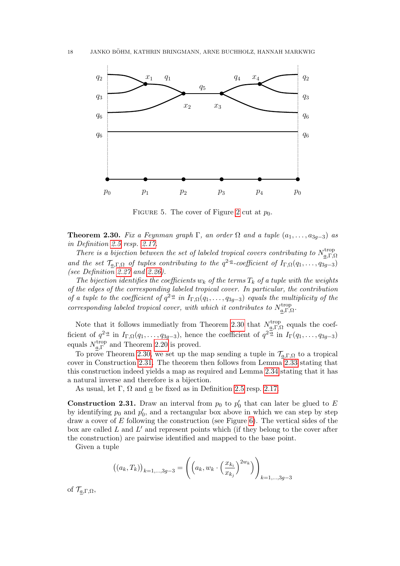

FIGURE 5. The cover of Figure [2](#page-9-0) cut at  $p_0$ .

<span id="page-17-2"></span><span id="page-17-0"></span>**Theorem 2.30.** Fix a Feynman graph Γ, an order  $\Omega$  and a tuple  $(a_1, \ldots, a_{3a-3})$  as in Definition [2.5](#page-5-0) resp. [2.17.](#page-9-2)

There is a bijection between the set of labeled tropical covers contributing to  $N_c^{\text{trop}}$  $a, Γ, Ω$ and the set  $\mathcal{T}_{a,\Gamma,\Omega}$  of tuples contributing to the  $q^{2}$ -coefficient of  $I_{\Gamma,\Omega}(q_1,\ldots,q_{3g-3})$ (see Definition [2.27](#page-16-1) and [2.26\)](#page-16-2).

The bijection identifies the coefficients  $w_k$  of the terms  $T_k$  of a tuple with the weights of the edges of the corresponding labeled tropical cover. In particular, the contribution of a tuple to the coefficient of  $q^{2a}$  in  $I_{\Gamma,\Omega}(q_1,\ldots,q_{3g-3})$  equals the multiplicity of the corresponding labeled tropical cover, with which it contributes to  $N_a^{\text{trop}}$  $_{\underline{a},\Gamma,\Omega}^{\operatorname{trop}}.$ 

Note that it follows immediatly from Theorem [2.30](#page-17-0) that  $N_{a}^{\text{trop}}$  $\frac{a}{a}$ ,  $\Gamma$ ,  $\Omega$  equals the coefficient of  $q^{2} \cdot a$  in  $I_{\Gamma,\Omega}(q_1,\ldots,q_{3g-3})$ , hence the coefficient of  $q^{2} \cdot a$  in  $I_{\Gamma}(q_1,\ldots,q_{3g-3})$ equals  $N_{a}^{\text{trop}}$  $_{a,\Gamma}^{trop}$  and Theorem [2.20](#page-10-0) is proved.

To prove Theorem [2.30,](#page-17-0) we set up the map sending a tuple in  $\mathcal{T}_{a,\Gamma,\Omega}$  to a tropical cover in Construction [2.31.](#page-17-1) The theorem then follows from Lemma [2.33](#page-18-0) stating that this construction indeed yields a map as required and Lemma [2.34](#page-19-0) stating that it has a natural inverse and therefore is a bijection.

As usual, let  $\Gamma$ ,  $\Omega$  and  $\alpha$  be fixed as in Definition [2.5](#page-5-0) resp. [2.17.](#page-9-2)

<span id="page-17-1"></span>**Construction 2.31.** Draw an interval from  $p_0$  to  $p'_0$  that can later be glued to E by identifying  $p_0$  and  $p'_0$ , and a rectangular box above in which we can step by step draw a cover of E following the construction (see Figure [6\)](#page-18-1). The vertical sides of the box are called  $L$  and  $L'$  and represent points which (if they belong to the cover after the construction) are pairwise identified and mapped to the base point.

Given a tuple

$$
((a_k, T_k))_{k=1,\dots,3g-3} = \left( \left( a_k, w_k \cdot \left( \frac{x_{k_i}}{x_{k_j}} \right)^{2w_k} \right) \right)_{k=1,\dots,3g-3}
$$

of  $\mathcal{T}_{a,\Gamma,\Omega}$ ,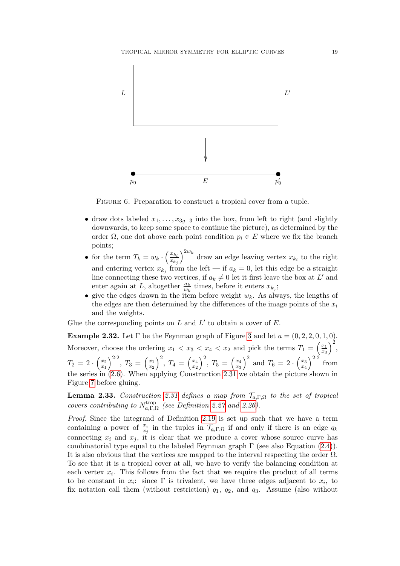

<span id="page-18-1"></span>FIGURE 6. Preparation to construct a tropical cover from a tuple.

- draw dots labeled  $x_1, \ldots, x_{3q-3}$  into the box, from left to right (and slightly downwards, to keep some space to continue the picture), as determined by the order  $\Omega$ , one dot above each point condition  $p_i \in E$  where we fix the branch points;
- for the term  $T_k = w_k \cdot \left(\frac{x_{k_i}}{x_{k_i}}\right)$  $x_{k_j}$  $\int^{2w_k}$  draw an edge leaving vertex  $x_{k_i}$  to the right and entering vertex  $x_{k_j}$  from the left — if  $a_k = 0$ , let this edge be a straight line connecting these two vertices, if  $a_k \neq 0$  let it first leave the box at L' and enter again at L, altogether  $\frac{a_k}{w_k}$  times, before it enters  $x_{k_j}$ ;
- give the edges drawn in the item before weight  $w_k$ . As always, the lengths of the edges are then determined by the differences of the image points of the  $x_i$ and the weights.

Glue the corresponding points on  $L$  and  $L'$  to obtain a cover of  $E$ .

<span id="page-18-2"></span>Example 2.32. Let  $\Gamma$  be the Feynman graph of Figure [3](#page-10-1) and let  $\underline{a} = (0, 2, 2, 0, 1, 0)$ . Moreover, choose the ordering  $x_1 < x_3 < x_4 < x_2$  and pick the terms  $T_1 = \left(\frac{x_1}{x_3}\right)$  $\overline{x_3}$  $\big)^2$  $T_2 = 2 \cdot \left(\frac{x_2}{x_1}\right)$  $\overline{x_1}$  $\int^{2\cdot 2}$ ,  $T_3 = \left(\frac{x_1}{x_2}\right)$  $\overline{x_2}$  $\int_{1}^{2}$ ,  $T_4 = \left(\frac{x_4}{x_2}\right)$  $\overline{x_2}$  $\int_{1}^{2}$ ,  $T_5 = \left(\frac{x_4}{x_2}\right)$  $\overline{x_3}$  $\int_0^2$  and  $T_6 = 2 \cdot \left(\frac{x_3}{x_4}\right)$ x4  $\Big)^{2\cdot 2}$  from the series in [\(2.6\)](#page-15-1). When applying Construction [2.31](#page-17-1) we obtain the picture shown in Figure [7](#page-19-1) before gluing.

<span id="page-18-0"></span>**Lemma 2.33.** Construction [2.31](#page-17-1) defines a map from  $\mathcal{T}_{a,\Gamma,\Omega}$  to the set of tropical covers contributing to  $N_{a}^{\text{trop}}$ <sup>ττορ</sup><sub>α,Γ,Ω</sub> (see Definition [2.27](#page-16-1) and [2.26\)](#page-16-2).

Proof. Since the integrand of Definition [2.19](#page-9-1) is set up such that we have a term containing a power of  $\frac{x_i}{x_j}$  in the tuples in  $\mathcal{T}_{\underline{a},\Gamma,\Omega}$  if and only if there is an edge  $q_k$ connecting  $x_i$  and  $x_j$ , it is clear that we produce a cover whose source curve has combinatorial type equal to the labeled Feynman graph  $\Gamma$  (see also Equation [\(2.4\)](#page-14-1)). It is also obvious that the vertices are mapped to the interval respecting the order  $\Omega$ . To see that it is a tropical cover at all, we have to verify the balancing condition at each vertex  $x_i$ . This follows from the fact that we require the product of all terms to be constant in  $x_i$ : since  $\Gamma$  is trivalent, we have three edges adjacent to  $x_i$ , to fix notation call them (without restriction)  $q_1$ ,  $q_2$ , and  $q_3$ . Assume (also without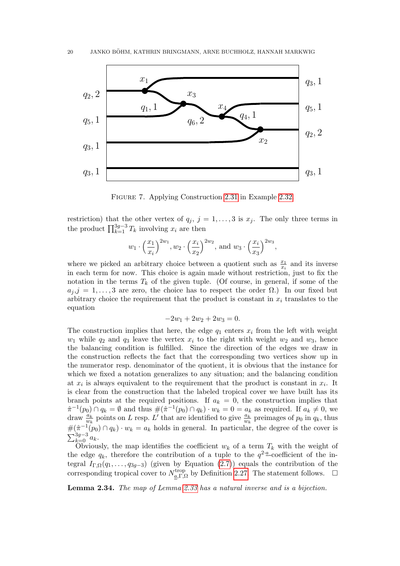

Figure 7. Applying Construction [2.31](#page-17-1) in Example [2.32.](#page-18-2)

<span id="page-19-1"></span>restriction) that the other vertex of  $q_j$ ,  $j = 1, ..., 3$  is  $x_j$ . The only three terms in the product  $\prod_{k=1}^{3g-3} T_k$  involving  $x_i$  are then

$$
w_1 \cdot \left(\frac{x_1}{x_i}\right)^{2w_1}, w_2 \cdot \left(\frac{x_i}{x_2}\right)^{2w_2}, \text{ and } w_3 \cdot \left(\frac{x_i}{x_3}\right)^{2w_3},
$$

where we picked an arbitrary choice between a quotient such as  $\frac{x_1}{x_i}$  and its inverse in each term for now. This choice is again made without restriction, just to fix the notation in the terms  $T_k$  of the given tuple. (Of course, in general, if some of the  $a_{i}, j = 1, \ldots, 3$  are zero, the choice has to respect the order  $\Omega$ .) In our fixed but arbitrary choice the requirement that the product is constant in  $x_i$  translates to the equation

$$
-2w_1 + 2w_2 + 2w_3 = 0.
$$

The construction implies that here, the edge  $q_1$  enters  $x_i$  from the left with weight  $w_1$  while  $q_2$  and  $q_3$  leave the vertex  $x_i$  to the right with weight  $w_2$  and  $w_3$ , hence the balancing condition is fulfilled. Since the direction of the edges we draw in the construction reflects the fact that the corresponding two vertices show up in the numerator resp. denominator of the quotient, it is obvious that the instance for which we fixed a notation generalizes to any situation; and the balancing condition at  $x_i$  is always equivalent to the requirement that the product is constant in  $x_i$ . It is clear from the construction that the labeled tropical cover we have built has its branch points at the required positions. If  $a_k = 0$ , the construction implies that  $\hat{\pi}^{-1}(p_0) \cap q_k = \emptyset$  and thus  $\#(\hat{\pi}^{-1}(p_0) \cap q_k) \cdot w_k = 0 = a_k$  as required. If  $a_k \neq 0$ , we draw  $\frac{a_k}{w_k}$  points on L resp. L' that are identified to give  $\frac{a_k}{w_k}$  preimages of  $p_0$  in  $q_k$ , thus  $\#(\hat{\pi}^{-1}(p_0) \cap q_k) \cdot w_k = a_k$  holds in general. In particular, the degree of the cover is  $\sum_{k=0}^{3g-3} a_k$ .

Obviously, the map identifies the coefficient  $w_k$  of a term  $T_k$  with the weight of the edge  $q_k$ , therefore the contribution of a tuple to the  $q^{2 \cdot \underline{a}}$ -coefficient of the integral  $I_{\Gamma,\Omega}(q_1,\ldots,q_{3g-3})$  (given by Equation [\(2.7\)](#page-16-3)) equals the contribution of the corresponding tropical cover to  $N_{a}^{\text{trop}}$ <sup>trop</sup><sub>a,Γ,Ω</sub> by Definition [2.27.](#page-16-1) The statement follows.  $\square$ 

<span id="page-19-0"></span>Lemma 2.34. The map of Lemma [2.33](#page-18-0) has a natural inverse and is a bijection.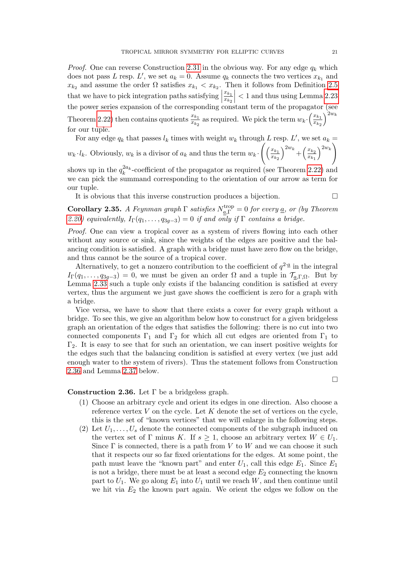*Proof.* One can reverse Construction [2.31](#page-17-1) in the obvious way. For any edge  $q_k$  which does not pass L resp. L', we set  $a_k = 0$ . Assume  $q_k$  connects the two vertices  $x_{k_1}$  and  $x_{k_2}$  and assume the order  $\Omega$  satisfies  $x_{k_1} < x_{k_2}$ . Then it follows from Definition [2.5](#page-5-0) that we have to pick integration paths satisfying  $\begin{bmatrix} 1 & 0 \\ 0 & 1 \end{bmatrix}$  $\frac{x_{k_1}}{k_1}$  $\overline{x_{k}}_{2}$ that we have to pick integration paths satisfying  $\left|\frac{x_{k_1}}{x_{k_2}}\right| < 1$  and thus using Lemma [2.23](#page-15-2) the power series expansion of the corresponding constant term of the propagator (see Theorem [2.22\)](#page-13-1) then contains quotients  $\frac{x_{k_1}}{x_{k_2}}$  as required. We pick the term  $w_k \cdot \left(\frac{x_{k_1}}{x_{k_2}}\right)$  $\overline{x_{k_2}}$  $\big\}^{2w_k}$ for our tuple.

For any edge  $q_k$  that passes  $l_k$  times with weight  $w_k$  through L resp. L', we set  $a_k =$  $\langle \rangle^{2w_k}$ 

 $w_k \cdot l_k$ . Obviously,  $w_k$  is a divisor of  $a_k$  and thus the term  $w_k \cdot$  $\left( \frac{x_{k_1}}{x_k} \right)$  $x_{k_2}$  $\bigg)^{2w_k} + \bigg(\frac{x_{k_2}}{x_k}$  $x_{k_1}$ 

shows up in the  $q_k^{2a_k}$ -coefficient of the propagator as required (see Theorem [2.22\)](#page-13-1) and we can pick the summand corresponding to the orientation of our arrow as term for our tuple.

It is obvious that this inverse construction produces a bijection.

 $\Box$ 

<span id="page-20-0"></span>**Corollary 2.35.** A Feynman graph  $\Gamma$  satisfies  $N_{a,\Gamma}^{\text{trop}} = 0$  for every <u>a</u>, or (by Theorem [2.20\)](#page-10-0) equivalently,  $I_{\Gamma}(q_1,\ldots,q_{3g-3})=0$  if and only if  $\Gamma$  contains a bridge.

Proof. One can view a tropical cover as a system of rivers flowing into each other without any source or sink, since the weights of the edges are positive and the balancing condition is satisfied. A graph with a bridge must have zero flow on the bridge, and thus cannot be the source of a tropical cover.

Alternatively, to get a nonzero contribution to the coefficient of  $q^{2} \cdot \mathbf{a}$  in the integral  $I_{\Gamma}(q_1,\ldots,q_{3q-3})=0$ , we must be given an order  $\Omega$  and a tuple in  $\mathcal{T}_{a,\Gamma,\Omega}$ . But by Lemma [2.33](#page-18-0) such a tuple only exists if the balancing condition is satisfied at every vertex, thus the argument we just gave shows the coefficient is zero for a graph with a bridge.

Vice versa, we have to show that there exists a cover for every graph without a bridge. To see this, we give an algorithm below how to construct for a given bridgeless graph an orientation of the edges that satisfies the following: there is no cut into two connected components  $\Gamma_1$  and  $\Gamma_2$  for which all cut edges are oriented from  $\Gamma_1$  to  $\Gamma_2$ . It is easy to see that for such an orientation, we can insert positive weights for the edges such that the balancing condition is satisfied at every vertex (we just add enough water to the system of rivers). Thus the statement follows from Construction [2.36](#page-20-1) and Lemma [2.37](#page-21-2) below.

# <span id="page-20-1"></span>Construction 2.36. Let  $\Gamma$  be a bridgeless graph.

- (1) Choose an arbitrary cycle and orient its edges in one direction. Also choose a reference vertex  $V$  on the cycle. Let  $K$  denote the set of vertices on the cycle, this is the set of "known vertices" that we will enlarge in the following steps.
- (2) Let  $U_1, \ldots, U_s$  denote the connected components of the subgraph induced on the vertex set of Γ minus K. If  $s \geq 1$ , choose an arbitrary vertex  $W \in U_1$ . Since  $\Gamma$  is connected, there is a path from V to W and we can choose it such that it respects our so far fixed orientations for the edges. At some point, the path must leave the "known part" and enter  $U_1$ , call this edge  $E_1$ . Since  $E_1$ is not a bridge, there must be at least a second edge  $E_2$  connecting the known part to  $U_1$ . We go along  $E_1$  into  $U_1$  until we reach  $W$ , and then continue until we hit via  $E_2$  the known part again. We orient the edges we follow on the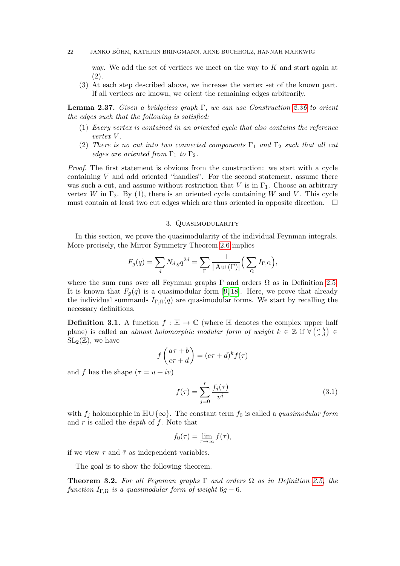#### 22 JANKO BÖHM, KATHRIN BRINGMANN, ARNE BUCHHOLZ, HANNAH MARKWIG

way. We add the set of vertices we meet on the way to  $K$  and start again at (2).

(3) At each step described above, we increase the vertex set of the known part. If all vertices are known, we orient the remaining edges arbitrarily.

<span id="page-21-2"></span>**Lemma 2.37.** Given a bridgeless graph  $\Gamma$ , we can use Construction [2.36](#page-20-1) to orient the edges such that the following is satisfied:

- (1) Every vertex is contained in an oriented cycle that also contains the reference vertex V .
- (2) There is no cut into two connected components  $\Gamma_1$  and  $\Gamma_2$  such that all cut edges are oriented from  $\Gamma_1$  to  $\Gamma_2$ .

Proof. The first statement is obvious from the construction: we start with a cycle containing  $V$  and add oriented "handles". For the second statement, assume there was such a cut, and assume without restriction that V is in  $\Gamma_1$ . Choose an arbitrary vertex W in  $\Gamma_2$ . By (1), there is an oriented cycle containing W and V. This cycle must contain at least two cut edges which are thus oriented in opposite direction.  $\Box$ 

## 3. Quasimodularity

<span id="page-21-0"></span>In this section, we prove the quasimodularity of the individual Feynman integrals. More precisely, the Mirror Symmetry Theorem [2.6](#page-6-1) implies

$$
F_g(q) = \sum_d N_{d,g} q^{2d} = \sum_{\Gamma} \frac{1}{|\operatorname{Aut}(\Gamma)|} \left( \sum_{\Omega} I_{\Gamma,\Omega} \right),
$$

where the sum runs over all Feynman graphs  $\Gamma$  and orders  $\Omega$  as in Definition [2.5.](#page-5-0) It is known that  $F_q(q)$  is a quasimodular form [\[9,](#page-34-0) [18\]](#page-35-11). Here, we prove that already the individual summands  $I_{\Gamma,\Omega}(q)$  are quasimodular forms. We start by recalling the necessary definitions.

**Definition 3.1.** A function  $f : \mathbb{H} \to \mathbb{C}$  (where  $\mathbb{H}$  denotes the complex upper half plane) is called an *almost holomorphic modular form of weight*  $k \in \mathbb{Z}$  if  $\forall (\begin{smallmatrix} a & b \\ c & d \end{smallmatrix}) \in$  $SL_2(\mathbb{Z})$ , we have

$$
f\left(\frac{a\tau+b}{c\tau+d}\right) = (c\tau+d)^k f(\tau)
$$

and f has the shape  $(\tau = u + iv)$ 

<span id="page-21-3"></span>
$$
f(\tau) = \sum_{j=0}^{r} \frac{f_j(\tau)}{v^j}
$$
 (3.1)

with  $f_j$  holomorphic in  $\mathbb{H}\cup\{\infty\}$ . The constant term  $f_0$  is called a *quasimodular form* and  $r$  is called the *depth* of  $f$ . Note that

$$
f_0(\tau) = \lim_{\overline{\tau} \to \infty} f(\tau),
$$

if we view  $\tau$  and  $\bar{\tau}$  as independent variables.

The goal is to show the following theorem.

<span id="page-21-1"></span>**Theorem 3.2.** For all Feynman graphs  $\Gamma$  and orders  $\Omega$  as in Definition [2.5,](#page-5-0) the function  $I_{\Gamma,\Omega}$  is a quasimodular form of weight 6g – 6.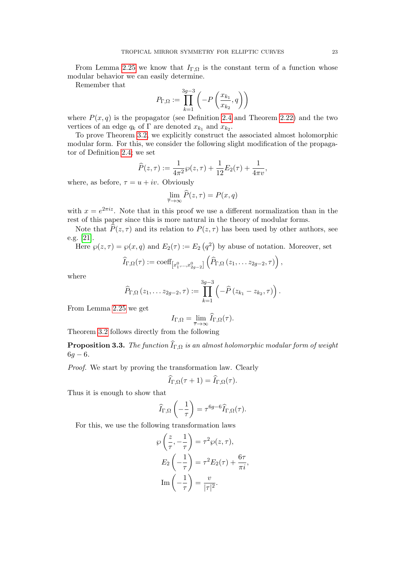From Lemma [2.25](#page-16-4) we know that  $I_{\Gamma,\Omega}$  is the constant term of a function whose modular behavior we can easily determine.

Remember that

$$
P_{\Gamma,\Omega} := \prod_{k=1}^{3g-3} \left( -P\left(\frac{x_{k_1}}{x_{k_2}}, q\right) \right)
$$

where  $P(x, q)$  is the propagator (see Definition [2.4](#page-5-2) and Theorem [2.22\)](#page-13-1) and the two vertices of an edge  $q_k$  of  $\Gamma$  are denoted  $x_{k_1}$  and  $x_{k_2}$ .

To prove Theorem [3.2,](#page-21-1) we explicitly construct the associated almost holomorphic modular form. For this, we consider the following slight modification of the propagator of Definition [2.4;](#page-5-2) we set

$$
\widehat{P}(z,\tau) := \frac{1}{4\pi^2} \wp(z,\tau) + \frac{1}{12} E_2(\tau) + \frac{1}{4\pi v},
$$

where, as before,  $\tau = u + iv$ . Obviously

$$
\lim_{\overline{\tau}\to\infty}\widehat{P}(z,\tau)=P(x,q)
$$

with  $x = e^{2\pi i z}$ . Note that in this proof we use a different normalization than in the rest of this paper since this is more natural in the theory of modular forms.

Note that  $\widehat{P}(z, \tau)$  and its relation to  $P(z, \tau)$  has been used by other authors, see e.g. [\[21\]](#page-35-12).

Here  $\wp(z,\tau) = \wp(x,q)$  and  $E_2(\tau) := E_2(q^2)$  by abuse of notation. Moreover, set

$$
\widehat{I}_{\Gamma,\Omega}(\tau) := \mathrm{coeff}_{\left[x_1^0,\ldots,x_{2g-2}^0\right]} \left(\widehat{P}_{\Gamma,\Omega} \left(z_1,\ldots z_{2g-2},\tau\right)\right),\,
$$

where

$$
\widehat{P}_{\Gamma,\Omega}(z_1,\ldots z_{2g-2},\tau) := \prod_{k=1}^{3g-3} \left(-\widehat{P}(z_{k_1}-z_{k_2},\tau)\right).
$$

From Lemma [2.25](#page-16-4) we get

$$
I_{\Gamma,\Omega} = \lim_{\overline{\tau}\to\infty} \widehat{I}_{\Gamma,\Omega}(\tau).
$$

Theorem [3.2](#page-21-1) follows directly from the following

**Proposition 3.3.** The function  $\widehat{I}_{\Gamma,\Omega}$  is an almost holomorphic modular form of weight  $6g - 6.$ 

Proof. We start by proving the transformation law. Clearly

$$
\widehat{I}_{\Gamma,\Omega}(\tau+1) = \widehat{I}_{\Gamma,\Omega}(\tau).
$$

Thus it is enough to show that

$$
\widehat{I}_{\Gamma,\Omega}\left(-\frac{1}{\tau}\right) = \tau^{6g-6}\widehat{I}_{\Gamma,\Omega}(\tau).
$$

For this, we use the following transformation laws

$$
\wp\left(\frac{z}{\tau}, -\frac{1}{\tau}\right) = \tau^2 \wp(z, \tau),
$$

$$
E_2\left(-\frac{1}{\tau}\right) = \tau^2 E_2(\tau) + \frac{6\tau}{\pi i},
$$

$$
\text{Im}\left(-\frac{1}{\tau}\right) = \frac{v}{|\tau|^2}.
$$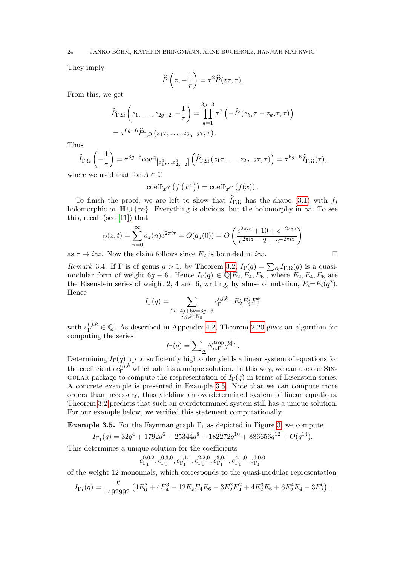They imply

$$
\widehat{P}\left(z,-\frac{1}{\tau}\right) = \tau^2 \widehat{P}(z\tau,\tau).
$$

From this, we get

$$
\widehat{P}_{\Gamma,\Omega}\left(z_1,\ldots,z_{2g-2},-\frac{1}{\tau}\right) = \prod_{k=1}^{3g-3} \tau^2 \left(-\widehat{P}\left(z_{k_1}\tau - z_{k_2}\tau,\tau\right)\right) \n= \tau^{6g-6} \widehat{P}_{\Gamma,\Omega}\left(z_1\tau,\ldots,z_{2g-2}\tau,\tau\right).
$$

Thus

$$
\widehat{I}_{\Gamma,\Omega}\left(-\frac{1}{\tau}\right) = \tau^{6g-6} \text{coeff}_{\left[x_1^0,\dots,x_{2g-2}^0\right]} \left(\widehat{P}_{\Gamma,\Omega}\left(z_1\tau,\dots,z_{2g-2}\tau,\tau\right)\right) = \tau^{6g-6} \widehat{I}_{\Gamma,\Omega}(\tau),
$$

where we used that for  $A \in \mathbb{C}$ 

$$
\mathrm{coeff}_{[x^0]} \left( f \left( x^A \right) \right) = \mathrm{coeff}_{[x^0]} \left( f(x) \right).
$$

To finish the proof, we are left to show that  $I_{\Gamma,\Omega}$  has the shape [\(3.1\)](#page-21-3) with  $f_i$ holomorphic on  $\mathbb{H} \cup {\infty}$ . Everything is obvious, but the holomorphy in  $\infty$ . To see this, recall (see [\[11\]](#page-34-9)) that

$$
\wp(z,t) = \sum_{n=0}^{\infty} a_z(n) e^{2\pi i \tau} = O(a_z(0)) = O\left(\frac{e^{2\pi i z} + 10 + e^{-2\pi i z}}{e^{2\pi i z} - 2 + e^{-2\pi i z}}\right)
$$

as  $\tau \to i\infty$ . Now the claim follows since  $E_2$  is bounded in  $i\infty$ .

Remark 3.4. If  $\Gamma$  is of genus  $g > 1$ , by Theorem [3.2,](#page-21-1)  $I_{\Gamma}(q) = \sum_{\Omega} I_{\Gamma,\Omega}(q)$  is a quasimodular form of weight 6g − 6. Hence  $I_{\Gamma}(q) \in \mathbb{Q}[E_2, E_4, E_6]$ , where  $E_2, E_4, E_6$  are the Eisenstein series of weight 2, 4 and 6, writing, by abuse of notation,  $E_i = E_i(q^2)$ . Hence

$$
I_{\Gamma}(q) = \sum_{\substack{2i + 4j + 6k = 6g - 6 \\ i, j, k \in \mathbb{N}_0}} c_{\Gamma}^{i, j, k} \cdot E_2^i E_4^j E_6^k
$$

with  $c_{\Gamma}^{i,j,k} \in \mathbb{Q}$ . As described in Appendix [4.2,](#page-32-0) Theorem [2.20](#page-10-0) gives an algorithm for computing the series

$$
I_{\Gamma}(q) = \sum_{\underline{a}} N_{\underline{a},\Gamma}^{\text{trop}} q^{2|\underline{a}|}.
$$

Determining  $I_{\Gamma}(q)$  up to sufficiently high order yields a linear system of equations for the coefficients  $c_{\Gamma}^{i,j,k}$  which admits a unique solution. In this way, we can use our SIN-GULAR package to compute the respresentation of  $I_{\Gamma}(q)$  in terms of Eisenstein series. A concrete example is presented in Example [3.5.](#page-23-0) Note that we can compute more orders than necessary, thus yielding an overdetermined system of linear equations. Theorem [3.2](#page-21-1) predicts that such an overdetermined system still has a unique solution. For our example below, we verified this statement computationally.

<span id="page-23-0"></span>**Example 3.5.** For the Feynman graph  $\Gamma_1$  as depicted in Figure [3,](#page-10-1) we compute

$$
I_{\Gamma_1}(q) = 32q^4 + 1792q^6 + 25344q^8 + 182272q^{10} + 886656q^{12} + O(q^{14}).
$$

This determines a unique solution for the coefficients

$$
c_{\Gamma_1}^{0,0,2}, c_{\Gamma_1}^{0,3,0}, c_{\Gamma_1}^{1,1,1}, c_{\Gamma_1}^{2,2,0}, c_{\Gamma_1}^{3,0,1}, c_{\Gamma_1}^{4,1,0}, c_{\Gamma_1}^{6,0,0}
$$

of the weight 12 monomials, which corresponds to the quasi-modular representation

$$
I_{\Gamma_1}(q) = \frac{16}{1492992} \left( 4E_6^2 + 4E_4^3 - 12E_2E_4E_6 - 3E_2^2E_4^2 + 4E_2^3E_6 + 6E_2^4E_4 - 3E_2^6 \right).
$$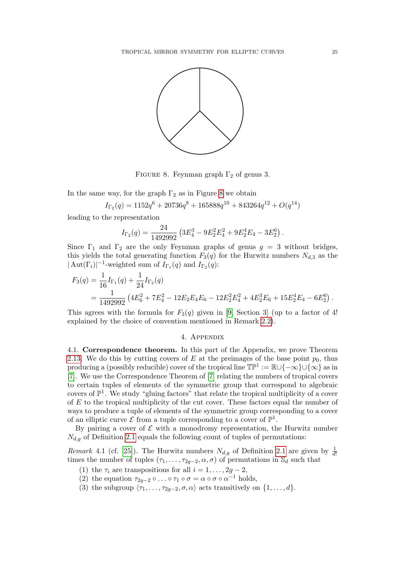

<span id="page-24-2"></span>FIGURE 8. Feynman graph  $\Gamma_2$  of genus 3.

In the same way, for the graph  $\Gamma_2$  as in Figure [8](#page-24-2) we obtain

$$
I_{\Gamma_2}(q) = 1152q^6 + 20736q^8 + 165888q^{10} + 843264q^{12} + O(q^{14})
$$

leading to the representation

$$
I_{\Gamma_2}(q) = \frac{24}{1492992} \left( 3E_4^3 - 9E_2^2 E_4^2 + 9E_2^4 E_4 - 3E_2^6 \right).
$$

Since  $\Gamma_1$  and  $\Gamma_2$  are the only Feynman graphs of genus  $g = 3$  without bridges, this yields the total generating function  $F_3(q)$  for the Hurwitz numbers  $N_{d,3}$  as the  $|\operatorname{Aut}(\Gamma_i)|^{-1}$ -weighted sum of  $I_{\Gamma_1}(q)$  and  $I_{\Gamma_2}(q)$ :

$$
F_3(q) = \frac{1}{16} I_{\Gamma_1}(q) + \frac{1}{24} I_{\Gamma_2}(q)
$$
  
= 
$$
\frac{1}{1492992} \left( 4E_6^2 + 7E_4^2 - 12E_2 E_4 E_6 - 12E_2^2 E_4^2 + 4E_2^3 E_6 + 15E_2^4 E_4 - 6E_2^6 \right).
$$

This agrees with the formula for  $F_3(q)$  given in [\[9,](#page-34-0) Section 3] (up to a factor of 4! explained by the choice of convention mentioned in Remark [2.2\)](#page-5-3).

## 4. Appendix

<span id="page-24-1"></span><span id="page-24-0"></span>4.1. Correspondence theorem. In this part of the Appendix, we prove Theorem [2.13.](#page-8-1) We do this by cutting covers of E at the preimages of the base point  $p_0$ , thus producing a (possibly reducible) cover of the tropical line  $\mathbb{TP}^1 := \mathbb{R} \cup \{-\infty\} \cup \{\infty\}$  as in [\[7\]](#page-34-5). We use the Correspondence Theorem of [\[7\]](#page-34-5) relating the numbers of tropical covers to certain tuples of elements of the symmetric group that correspond to algebraic covers of  $\mathbb{P}^1$ . We study "gluing factors" that relate the tropical multiplicity of a cover of E to the tropical multiplicity of the cut cover. These factors equal the number of ways to produce a tuple of elements of the symmetric group corresponding to a cover of an elliptic curve  $\mathcal E$  from a tuple corresponding to a cover of  $\mathbb P^1$ .

By pairing a cover of  $\mathcal E$  with a monodromy representation, the Hurwitz number  $N_{d,q}$  of Definition [2.1](#page-5-1) equals the following count of tuples of permutations:

<span id="page-24-3"></span>Remark 4.1 (cf. [\[25\]](#page-35-14)). The Hurwitz numbers  $N_{d,g}$  of Definition [2.1](#page-5-1) are given by  $\frac{1}{d!}$ times the number of tuples  $(\tau_1, \ldots, \tau_{2g-2}, \alpha, \sigma)$  of permutations in  $\mathbb{S}_d$  such that

(1) the  $\tau_i$  are transpositions for all  $i = 1, \ldots, 2g - 2$ ,

(2) the equation  $\tau_{2g-2} \circ \ldots \circ \tau_1 \circ \sigma = \alpha \circ \sigma \circ \alpha^{-1}$  holds,

(3) the subgroup  $\langle \tau_1, \ldots, \tau_{2q-2}, \sigma, \alpha \rangle$  acts transitively on  $\{1, \ldots, d\}.$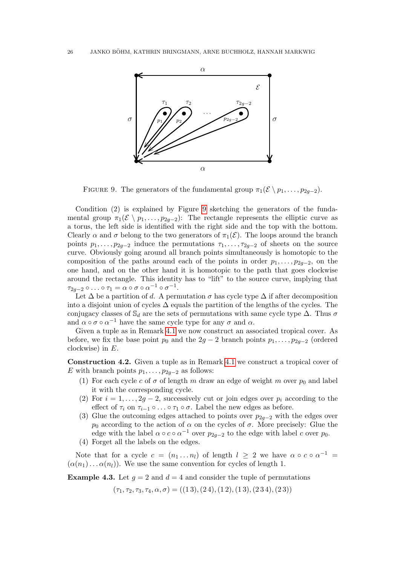

<span id="page-25-0"></span>FIGURE 9. The generators of the fundamental group  $\pi_1(\mathcal{E} \setminus p_1, \ldots, p_{2q-2})$ .

Condition (2) is explained by Figure [9](#page-25-0) sketching the generators of the fundamental group  $\pi_1(\mathcal{E} \setminus p_1, \ldots, p_{2g-2})$ : The rectangle represents the elliptic curve as a torus, the left side is identified with the right side and the top with the bottom. Clearly  $\alpha$  and  $\sigma$  belong to the two generators of  $\pi_1(\mathcal{E})$ . The loops around the branch points  $p_1, \ldots, p_{2g-2}$  induce the permutations  $\tau_1, \ldots, \tau_{2g-2}$  of sheets on the source curve. Obviously going around all branch points simultaneously is homotopic to the composition of the paths around each of the points in order  $p_1, \ldots, p_{2q-2}$ , on the one hand, and on the other hand it is homotopic to the path that goes clockwise around the rectangle. This identity has to "lift" to the source curve, implying that  $\tau_{2g-2}\circ\ldots\circ\tau_1=\alpha\circ\sigma\circ\alpha^{-1}\circ\sigma^{-1}.$ 

Let  $\Delta$  be a partition of d. A permutation  $\sigma$  has cycle type  $\Delta$  if after decomposition into a disjoint union of cycles  $\Delta$  equals the partition of the lengths of the cycles. The conjugacy classes of  $\mathcal{S}_d$  are the sets of permutations with same cycle type  $\Delta$ . Thus  $\sigma$ and  $\alpha \circ \sigma \circ \alpha^{-1}$  have the same cycle type for any  $\sigma$  and  $\alpha$ .

Given a tuple as in Remark [4.1](#page-24-3) we now construct an associated tropical cover. As before, we fix the base point  $p_0$  and the 2g − 2 branch points  $p_1, \ldots, p_{2g-2}$  (ordered clockwise) in  $E$ .

<span id="page-25-1"></span>Construction 4.2. Given a tuple as in Remark [4.1](#page-24-3) we construct a tropical cover of E with branch points  $p_1, \ldots, p_{2q-2}$  as follows:

- (1) For each cycle c of  $\sigma$  of length m draw an edge of weight m over  $p_0$  and label it with the corresponding cycle.
- (2) For  $i = 1, \ldots, 2g 2$ , successively cut or join edges over  $p_i$  according to the effect of  $\tau_i$  on  $\tau_{i-1} \circ \ldots \circ \tau_1 \circ \sigma$ . Label the new edges as before.
- (3) Glue the outcoming edges attached to points over  $p_{2a-2}$  with the edges over  $p_0$  according to the action of  $\alpha$  on the cycles of  $\sigma$ . More precisely: Glue the edge with the label  $\alpha \circ c \circ \alpha^{-1}$  over  $p_{2g-2}$  to the edge with label c over  $p_0$ .
- (4) Forget all the labels on the edges.

Note that for a cycle  $c = (n_1 \dots n_l)$  of length  $l \geq 2$  we have  $\alpha \circ c \circ \alpha^{-1} =$  $(\alpha(n_1)\dots\alpha(n_l))$ . We use the same convention for cycles of length 1.

**Example 4.3.** Let  $g = 2$  and  $d = 4$  and consider the tuple of permutations

 $(\tau_1, \tau_2, \tau_3, \tau_4, \alpha, \sigma) = ((1\,3), (2\,4), (1\,2), (1\,3), (2\,3\,4), (2\,3))$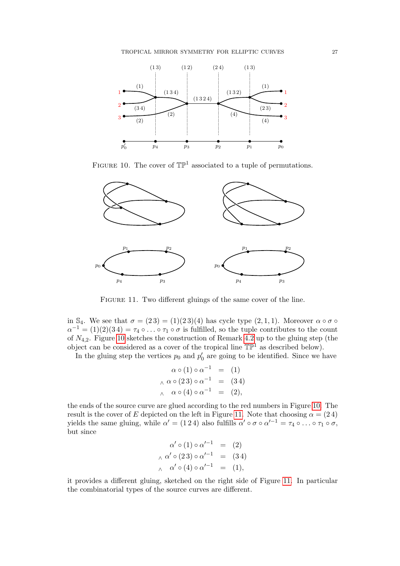

<span id="page-26-0"></span>FIGURE 10. The cover of  $\mathbb{TP}^1$  associated to a tuple of permutations.



FIGURE 11. Two different gluings of the same cover of the line.

<span id="page-26-1"></span>in S<sub>4</sub>. We see that  $\sigma = (23) = (1)(23)(4)$  has cycle type  $(2,1,1)$ . Moreover  $\alpha \circ \sigma \circ$  $\alpha^{-1} = (1)(2)(34) = \tau_4 \circ \ldots \circ \tau_1 \circ \sigma$  is fulfilled, so the tuple contributes to the count of  $N_{4,2}$ . Figure [10](#page-26-0) sketches the construction of Remark [4.2](#page-25-1) up to the gluing step (the object can be considered as a cover of the tropical line  $\mathbb{TP}^1$  as described below).

In the gluing step the vertices  $p_0$  and  $p'_0$  are going to be identified. Since we have

$$
\alpha \circ (1) \circ \alpha^{-1} = (1)
$$
  

$$
\alpha \circ (23) \circ \alpha^{-1} = (34)
$$
  

$$
\alpha \circ (4) \circ \alpha^{-1} = (2),
$$

the ends of the source curve are glued according to the red numbers in Figure [10.](#page-26-0) The result is the cover of E depicted on the left in Figure [11.](#page-26-1) Note that choosing  $\alpha = (24)$ yields the same gluing, while  $\alpha' = (1\,2\,4)$  also fulfills  $\alpha' \circ \sigma \circ \alpha'^{-1} = \tau_4 \circ \dots \circ \tau_1 \circ \sigma$ , but since

$$
\alpha' \circ (1) \circ \alpha'^{-1} = (2)
$$
  

$$
\alpha' \circ (23) \circ \alpha'^{-1} = (34)
$$
  

$$
\alpha' \circ (4) \circ \alpha'^{-1} = (1),
$$

it provides a different gluing, sketched on the right side of Figure [11.](#page-26-1) In particular the combinatorial types of the source curves are different.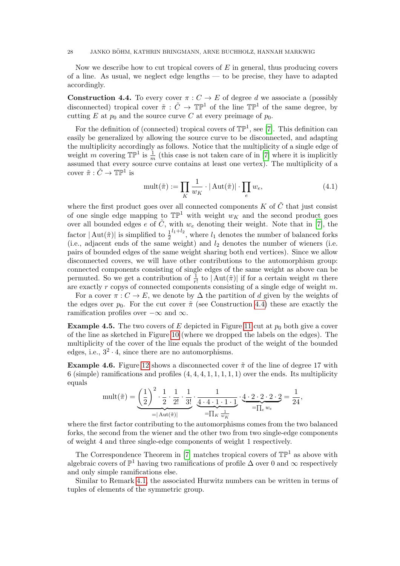#### 28 JANKO BÖHM, KATHRIN BRINGMANN, ARNE BUCHHOLZ, HANNAH MARKWIG

Now we describe how to cut tropical covers of  $E$  in general, thus producing covers of a line. As usual, we neglect edge lengths — to be precise, they have to adapted accordingly.

<span id="page-27-0"></span>**Construction 4.4.** To every cover  $\pi: C \to E$  of degree d we associate a (possibly disconnected) tropical cover  $\tilde{\pi}: \tilde{C} \to \mathbb{TP}^1$  of the line  $\mathbb{TP}^1$  of the same degree, by cutting E at  $p_0$  and the source curve C at every preimage of  $p_0$ .

For the definition of (connected) tropical covers of  $\mathbb{TP}^1$ , see [\[7\]](#page-34-5). This definition can easily be generalized by allowing the source curve to be disconnected, and adapting the multiplicity accordingly as follows. Notice that the multiplicity of a single edge of weight m covering  $\mathbb{TP}^1$  is  $\frac{1}{m}$  (this case is not taken care of in [\[7\]](#page-34-5) where it is implicitly assumed that every source curve contains at least one vertex). The multiplicity of a cover  $\tilde{\pi}: \tilde{C} \to \mathbb{TP}^1$  is

<span id="page-27-1"></span>
$$
\text{mult}(\tilde{\pi}) := \prod_{K} \frac{1}{w_K} \cdot |\text{Aut}(\tilde{\pi})| \cdot \prod_{e} w_e,\tag{4.1}
$$

where the first product goes over all connected components  $K$  of  $\tilde{C}$  that just consist of one single edge mapping to  $\mathbb{TP}^1$  with weight  $w_K$  and the second product goes over all bounded edges e of  $\tilde{C}$ , with  $w_e$  denoting their weight. Note that in [\[7\]](#page-34-5), the factor  $|\operatorname{Aut}(\tilde{\pi})|$  is simplified to  $\frac{1}{2}$  $\frac{l_1+l_2}{l_1+l_2}$ , where  $l_1$  denotes the number of balanced forks (i.e., adjacent ends of the same weight) and  $l_2$  denotes the number of wieners (i.e. pairs of bounded edges of the same weight sharing both end vertices). Since we allow disconnected covers, we will have other contributions to the automorphism group: connected components consisting of single edges of the same weight as above can be permuted. So we get a contribution of  $\frac{1}{r!}$  to  $|\text{Aut}(\tilde{\pi})|$  if for a certain weight m there are exactly r copys of connected components consisting of a single edge of weight m.

For a cover  $\pi: C \to E$ , we denote by  $\Delta$  the partition of d given by the weights of the edges over  $p_0$ . For the cut cover  $\tilde{\pi}$  (see Construction [4.4\)](#page-27-0) these are exactly the ramification profiles over  $-\infty$  and  $\infty$ .

**Example 4.5.** The two covers of E depicted in Figure [11](#page-26-1) cut at  $p_0$  both give a cover of the line as sketched in Figure [10](#page-26-0) (where we dropped the labels on the edges). The multiplicity of the cover of the line equals the product of the weight of the bounded edges, i.e.,  $3^2 \cdot 4$ , since there are no automorphisms.

**Example 4.6.** Figure [12](#page-28-0) shows a disconnected cover  $\tilde{\pi}$  of the line of degree 17 with 6 (simple) ramifications and profiles  $(4, 4, 4, 1, 1, 1, 1, 1)$  over the ends. Its multiplicity equals

$$
\text{mult}(\tilde{\pi}) = \underbrace{\left(\frac{1}{2}\right)^2 \cdot \frac{1}{2} \cdot \frac{1}{2!} \cdot \frac{1}{3!}}_{=|\text{Aut}(\tilde{\pi})|} \cdot \underbrace{\frac{1}{4 \cdot 4 \cdot 1 \cdot 1 \cdot 1}}_{= \prod_{K} \frac{1}{w_K}} \cdot \underbrace{4 \cdot 2 \cdot 2 \cdot 2 \cdot 2}_{= \prod_{e} w_e} = \frac{1}{24},
$$

where the first factor contributing to the automorphisms comes from the two balanced forks, the second from the wiener and the other two from two single-edge components of weight 4 and three single-edge components of weight 1 respectively.

The Correspondence Theorem in [\[7\]](#page-34-5) matches tropical covers of  $\mathbb{TP}^1$  as above with algebraic covers of  $\mathbb{P}^1$  having two ramifications of profile  $\Delta$  over 0 and  $\infty$  respectively and only simple ramifications else.

Similar to Remark [4.1,](#page-24-3) the associated Hurwitz numbers can be written in terms of tuples of elements of the symmetric group.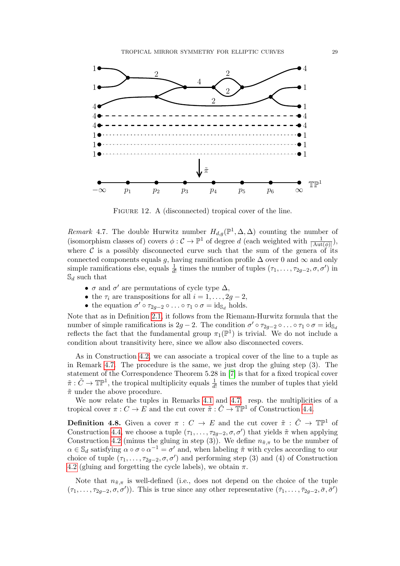

FIGURE 12. A (disconnected) tropical cover of the line.

<span id="page-28-1"></span><span id="page-28-0"></span>Remark 4.7. The double Hurwitz number  $H_{d,g}(\mathbb{P}^1,\Delta,\Delta)$  counting the number of (isomorphism classes of) covers  $\phi: \mathcal{C} \to \mathbb{P}^1$  of degree d (each weighted with  $\frac{1}{|\text{Aut}(\phi)|}$ ), where  $C$  is a possibly disconnected curve such that the sum of the genera of its connected components equals g, having ramification profile  $\Delta$  over 0 and  $\infty$  and only simple ramifications else, equals  $\frac{1}{d!}$  times the number of tuples  $(\tau_1, \ldots, \tau_{2g-2}, \sigma, \sigma')$  in  $\mathbb{S}_d$  such that

- $\sigma$  and  $\sigma'$  are permutations of cycle type  $\Delta$ ,
- the  $\tau_i$  are transpositions for all  $i = 1, \ldots, 2g 2$ ,
- the equation  $\sigma' \circ \tau_{2g-2} \circ \ldots \circ \tau_1 \circ \sigma = \mathrm{id}_{\mathbb{S}_d}$  holds.

Note that as in Definition [2.1,](#page-5-1) it follows from the Riemann-Hurwitz formula that the number of simple ramifications is  $2g-2$ . The condition  $\sigma' \circ \tau_{2g-2} \circ \ldots \circ \tau_1 \circ \sigma = \mathrm{id}_{\mathbb{S}_d}$ reflects the fact that the fundamental group  $\pi_1(\mathbb{P}^1)$  is trivial. We do not include a condition about transitivity here, since we allow also disconnected covers.

As in Construction [4.2,](#page-25-1) we can associate a tropical cover of the line to a tuple as in Remark [4.7.](#page-28-1) The procedure is the same, we just drop the gluing step (3). The statement of the Correspondence Theorem 5.28 in [\[7\]](#page-34-5) is that for a fixed tropical cover  $\tilde{\pi}: \tilde{C} \to \mathbb{TP}^1$ , the tropical multiplicity equals  $\frac{1}{d!}$  times the number of tuples that yield  $\tilde{\pi}$  under the above procedure.

We now relate the tuples in Remarks [4.1](#page-24-3) and [4.7.](#page-28-1) resp. the multiplicities of a tropical cover  $\pi: C \to E$  and the cut cover  $\tilde{\pi}: \tilde{C} \to \mathbb{TP}^1$  of Construction [4.4.](#page-27-0)

<span id="page-28-2"></span>**Definition 4.8.** Given a cover  $\pi : C \to E$  and the cut cover  $\tilde{\pi} : \tilde{C} \to \mathbb{TP}^1$  of Construction [4.4,](#page-27-0) we choose a tuple  $(\tau_1, \ldots, \tau_{2g-2}, \sigma, \sigma')$  that yields  $\tilde{\pi}$  when applying Construction [4.2](#page-25-1) (minus the gluing in step (3)). We define  $n_{\tilde{\pi},\pi}$  to be the number of  $\alpha \in \mathbb{S}_d$  satisfying  $\alpha \circ \sigma \circ \alpha^{-1} = \sigma'$  and, when labeling  $\tilde{\pi}$  with cycles according to our choice of tuple  $(\tau_1, \ldots, \tau_{2g-2}, \sigma, \sigma')$  and performing step (3) and (4) of Construction [4.2](#page-25-1) (gluing and forgetting the cycle labels), we obtain  $\pi$ .

Note that  $n_{\tilde{\pi},\pi}$  is well-defined (i.e., does not depend on the choice of the tuple  $(\tau_1,\ldots,\tau_{2g-2},\sigma,\sigma')$ ). This is true since any other representative  $(\bar{\tau}_1,\ldots,\bar{\tau}_{2g-2},\bar{\sigma},\bar{\sigma}')$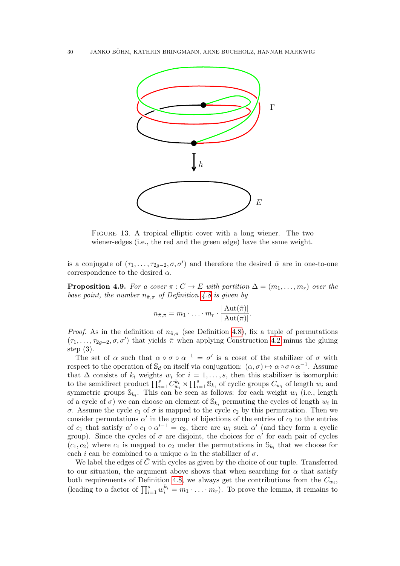

<span id="page-29-0"></span>Figure 13. A tropical elliptic cover with a long wiener. The two wiener-edges (i.e., the red and the green edge) have the same weight.

is a conjugate of  $(\tau_1, \ldots, \tau_{2g-2}, \sigma, \sigma')$  and therefore the desired  $\bar{\alpha}$  are in one-to-one correspondence to the desired  $\alpha$ .

<span id="page-29-1"></span>**Proposition 4.9.** For a cover  $\pi : C \to E$  with partition  $\Delta = (m_1, \ldots, m_r)$  over the base point, the number  $n_{\tilde{\pi},\pi}$  of Definition [4.8](#page-28-2) is given by

$$
n_{\tilde{\pi},\pi} = m_1 \cdot \ldots \cdot m_r \cdot \frac{|\operatorname{Aut}(\tilde{\pi})|}{|\operatorname{Aut}(\pi)|}.
$$

*Proof.* As in the definition of  $n_{\tilde{\pi},\pi}$  (see Definition [4.8\)](#page-28-2), fix a tuple of permutations  $(\tau_1, \ldots, \tau_{2g-2}, \sigma, \sigma')$  that yields  $\tilde{\pi}$  when applying Construction [4.2](#page-25-1) minus the gluing step (3).

The set of  $\alpha$  such that  $\alpha \circ \sigma \circ \alpha^{-1} = \sigma'$  is a coset of the stabilizer of  $\sigma$  with respect to the operation of  $\mathbb{S}_d$  on itself via conjugation:  $(\alpha, \sigma) \mapsto \alpha \circ \sigma \circ \alpha^{-1}$ . Assume that  $\Delta$  consists of  $k_i$  weights  $w_i$  for  $i = 1, \ldots, s$ , then this stabilizer is isomorphic to the semidirect product  $\prod_{i=1}^s C_{w_i}^{k_i} \rtimes \prod_{i=1}^s \mathbb{S}_{k_i}$  of cyclic groups  $C_{w_i}$  of length  $w_i$  and symmetric groups  $\mathbb{S}_{k_i}$ . This can be seen as follows: for each weight  $w_i$  (i.e., length of a cycle of  $\sigma$ ) we can choose an element of  $\mathbb{S}_{k_i}$  permuting the cycles of length  $w_i$  in σ. Assume the cycle  $c_1$  of σ is mapped to the cycle  $c_2$  by this permutation. Then we consider permutations  $\alpha'$  in the group of bijections of the entries of  $c_2$  to the entries of  $c_1$  that satisfy  $\alpha' \circ c_1 \circ \alpha'^{-1} = c_2$ , there are  $w_i$  such  $\alpha'$  (and they form a cyclic group). Since the cycles of  $\sigma$  are disjoint, the choices for  $\alpha'$  for each pair of cycles  $(c_1, c_2)$  where  $c_1$  is mapped to  $c_2$  under the permutations in  $\mathbb{S}_{k_i}$  that we choose for each *i* can be combined to a unique  $\alpha$  in the stabilizer of  $\sigma$ .

We label the edges of  $\tilde{C}$  with cycles as given by the choice of our tuple. Transferred to our situation, the argument above shows that when searching for  $\alpha$  that satisfy both requirements of Definition [4.8,](#page-28-2) we always get the contributions from the  $C_{w_i}$ , (leading to a factor of  $\prod_{i=1}^{s} w_i^{k_i} = m_1 \cdot \ldots \cdot m_r$ ). To prove the lemma, it remains to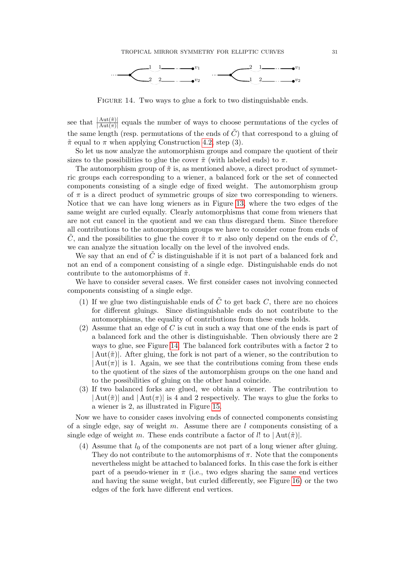

FIGURE 14. Two ways to glue a fork to two distinguishable ends.

<span id="page-30-0"></span>see that  $\frac{|\text{Aut}(\tilde{\pi})|}{|\text{Aut}(\pi)|}$  equals the number of ways to choose permutations of the cycles of the same length (resp. permutations of the ends of  $\tilde{C}$ ) that correspond to a gluing of  $\tilde{\pi}$  equal to  $\pi$  when applying Construction [4.2,](#page-25-1) step (3).

So let us now analyze the automorphism groups and compare the quotient of their sizes to the possibilities to glue the cover  $\tilde{\pi}$  (with labeled ends) to  $\pi$ .

The automorphism group of  $\tilde{\pi}$  is, as mentioned above, a direct product of symmetric groups each corresponding to a wiener, a balanced fork or the set of connected components consisting of a single edge of fixed weight. The automorphism group of  $\pi$  is a direct product of symmetric groups of size two corresponding to wieners. Notice that we can have long wieners as in Figure [13,](#page-29-0) where the two edges of the same weight are curled equally. Clearly automorphisms that come from wieners that are not cut cancel in the quotient and we can thus disregard them. Since therefore all contributions to the automorphism groups we have to consider come from ends of C, and the possibilities to glue the cover  $\tilde{\pi}$  to  $\pi$  also only depend on the ends of C, we can analyze the situation locally on the level of the involved ends.

We say that an end of  $\tilde{C}$  is distinguishable if it is not part of a balanced fork and not an end of a component consisting of a single edge. Distinguishable ends do not contribute to the automorphisms of  $\tilde{\pi}$ .

We have to consider several cases. We first consider cases not involving connected components consisting of a single edge.

- (1) If we glue two distinguishable ends of  $\tilde{C}$  to get back C, there are no choices for different gluings. Since distinguishable ends do not contribute to the automorphisms, the equality of contributions from these ends holds.
- (2) Assume that an edge of C is cut in such a way that one of the ends is part of a balanced fork and the other is distinguishable. Then obviously there are 2 ways to glue, see Figure [14.](#page-30-0) The balanced fork contributes with a factor 2 to  $\text{Aut}(\tilde{\pi})$ . After gluing, the fork is not part of a wiener, so the contribution to  $\text{Aut}(\pi)$  is 1. Again, we see that the contributions coming from these ends to the quotient of the sizes of the automorphism groups on the one hand and to the possibilities of gluing on the other hand coincide.
- (3) If two balanced forks are glued, we obtain a wiener. The contribution to  $|\text{Aut}(\tilde{\pi})|$  and  $|\text{Aut}(\pi)|$  is 4 and 2 respectively. The ways to glue the forks to a wiener is 2, as illustrated in Figure [15.](#page-31-0)

Now we have to consider cases involving ends of connected components consisting of a single edge, say of weight m. Assume there are l components consisting of a single edge of weight m. These ends contribute a factor of l! to  $|\text{Aut}(\tilde{\pi})|$ .

(4) Assume that  $l_0$  of the components are not part of a long wiener after gluing. They do not contribute to the automorphisms of  $\pi$ . Note that the components nevertheless might be attached to balanced forks. In this case the fork is either part of a pseudo-wiener in  $\pi$  (i.e., two edges sharing the same end vertices and having the same weight, but curled differently, see Figure [16\)](#page-31-1) or the two edges of the fork have different end vertices.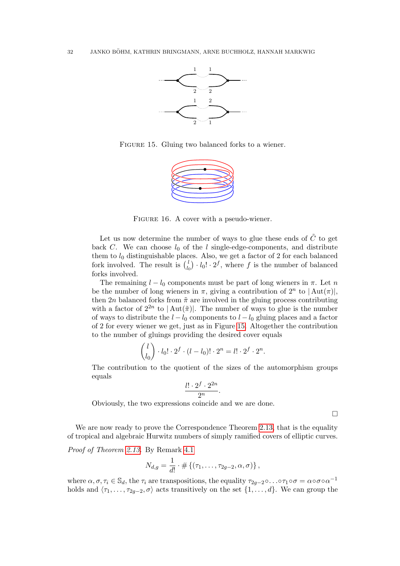

<span id="page-31-0"></span>FIGURE 15. Gluing two balanced forks to a wiener.



FIGURE 16. A cover with a pseudo-wiener.

<span id="page-31-1"></span>Let us now determine the number of ways to glue these ends of  $\ddot{C}$  to get back C. We can choose  $l_0$  of the l single-edge-components, and distribute them to  $l_0$  distinguishable places. Also, we get a factor of 2 for each balanced fork involved. The result is  $\binom{l}{k}$  $l_0$   $\cdot l_0! \cdot 2^f$ , where f is the number of balanced forks involved.

The remaining  $l - l_0$  components must be part of long wieners in  $\pi$ . Let n be the number of long wieners in  $\pi$ , giving a contribution of  $2^n$  to  $|\text{Aut}(\pi)|$ , then 2n balanced forks from  $\tilde{\pi}$  are involved in the gluing process contributing with a factor of  $2^{2n}$  to  $|\text{Aut}(\tilde{\pi})|$ . The number of ways to glue is the number of ways to distribute the  $l - l_0$  components to  $l - l_0$  gluing places and a factor of 2 for every wiener we get, just as in Figure [15.](#page-31-0) Altogether the contribution to the number of gluings providing the desired cover equals

$$
\binom{l}{l_0} \cdot l_0! \cdot 2^f \cdot (l - l_0)! \cdot 2^n = l! \cdot 2^f \cdot 2^n.
$$

The contribution to the quotient of the sizes of the automorphism groups equals

$$
\frac{l! \cdot 2^f \cdot 2^{2n}}{2^n}.
$$

Obviously, the two expressions coincide and we are done.

 $\hfill\square$ 

We are now ready to prove the Correspondence Theorem [2.13,](#page-8-1) that is the equality of tropical and algebraic Hurwitz numbers of simply ramified covers of elliptic curves.

Proof of Theorem [2.13.](#page-8-1) By Remark [4.1](#page-24-3)

$$
N_{d,g} = \frac{1}{d!} \cdot # \{ (\tau_1, \ldots, \tau_{2g-2}, \alpha, \sigma) \},
$$

where  $\alpha, \sigma, \tau_i \in \mathbb{S}_d$ , the  $\tau_i$  are transpositions, the equality  $\tau_{2g-2} \circ \ldots \circ \tau_1 \circ \sigma = \alpha \circ \sigma \circ \alpha^{-1}$ holds and  $\langle \tau_1, \ldots, \tau_{2q-2}, \sigma \rangle$  acts transitively on the set  $\{1, \ldots, d\}$ . We can group the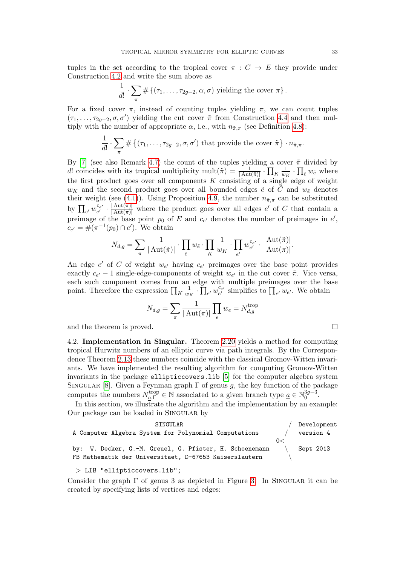tuples in the set according to the tropical cover  $\pi : C \to E$  they provide under Construction [4.2](#page-25-1) and write the sum above as

$$
\frac{1}{d!} \cdot \sum_{\pi} \# \{ (\tau_1, \ldots, \tau_{2g-2}, \alpha, \sigma) \text{ yielding the cover } \pi \}.
$$

For a fixed cover  $\pi$ , instead of counting tuples yielding  $\pi$ , we can count tuples  $(\tau_1, \ldots, \tau_{2g-2}, \sigma, \sigma')$  yielding the cut cover  $\tilde{\pi}$  from Construction [4.4](#page-27-0) and then multiply with the number of appropriate  $\alpha$ , i.e., with  $n_{\tilde{\pi},\pi}$  (see Definition [4.8\)](#page-28-2):

$$
\frac{1}{d!} \cdot \sum_{\pi} \# \{ (\tau_1, \ldots, \tau_{2g-2}, \sigma, \sigma') \text{ that provide the cover } \tilde{\pi} \} \cdot n_{\tilde{\pi}, \pi}.
$$

By [\[7\]](#page-34-5) (see also Remark [4.7\)](#page-28-1) the count of the tuples yielding a cover  $\tilde{\pi}$  divided by d! coincides with its tropical multiplicity mult $(\tilde{\pi}) = \frac{1}{|\text{Aut}(\tilde{\pi})|} \cdot \prod_{K} \frac{1}{w_I}$  $\frac{1}{w_K} \cdot \prod_{\tilde{e}} w_{\tilde{e}}$  where the first product goes over all components  $K$  consisting of a single edge of weight  $w_K$  and the second product goes over all bounded edges  $\tilde{e}$  of  $\tilde{C}$  and  $w_{\tilde{e}}$  denotes their weight (see [\(4.1\)](#page-27-1)). Using Proposition [4.9,](#page-29-1) the number  $n_{\tilde{\pi},\pi}$  can be substituted by  $\prod_{e'} w_{e'}^{c_{e'}} \cdot \frac{|\text{Aut}(\tilde{\pi})|}{|\text{Aut}(\pi)|}$  where the product goes over all edges  $e'$  of C that contain a preimage of the base point  $p_0$  of E and  $c_{e'}$  denotes the number of preimages in  $e'$ ,  $c_{e'} = \#(\pi^{-1}(p_0) \cap e')$ . We obtain

$$
N_{d,g} = \sum_{\pi} \frac{1}{|\operatorname{Aut}(\tilde{\pi})|} \cdot \prod_{\tilde{e}} w_{\tilde{e}} \cdot \prod_{K} \frac{1}{w_K} \cdot \prod_{e'} w_{e'}^{c_{e'}} \cdot \frac{|\operatorname{Aut}(\tilde{\pi})|}{|\operatorname{Aut}(\pi)|}.
$$

An edge  $e'$  of C of weight  $w_{e'}$  having  $c_{e'}$  preimages over the base point provides exactly  $c_{e'} - 1$  single-edge-components of weight  $w_{e'}$  in the cut cover  $\tilde{\pi}$ . Vice versa, each such component comes from an edge with multiple preimages over the base point. Therefore the expression  $\prod_K \frac{1}{w_i}$  $\frac{1}{w_K} \cdot \prod_{e'} w_{e'}^{c_{e'}}$  simplifies to  $\prod_{e'} w_{e'}$ . We obtain

$$
N_{d,g} = \sum_{\pi} \frac{1}{|\operatorname{Aut}(\pi)|} \prod_{e} w_e = N_{d,g}^{\operatorname{trop}}
$$

and the theorem is proved.

<span id="page-32-0"></span>4.2. Implementation in Singular. Theorem [2.20](#page-10-0) yields a method for computing tropical Hurwitz numbers of an elliptic curve via path integrals. By the Correspondence Theorem [2.13](#page-8-1) these numbers coincide with the classical Gromov-Witten invariants. We have implemented the resulting algorithm for computing Gromov-Witten invariants in the package ellipticcovers.lib [\[5\]](#page-34-10) for the computer algebra system SINGULAR [\[8\]](#page-34-11). Given a Feynman graph  $\Gamma$  of genus g, the key function of the package computes the numbers  $N_{a,\Gamma}^{\text{trop}} \in \mathbb{N}$  associated to a given branch type  $\underline{a} \in \mathbb{N}_0^{3g-3}$  $0^{3g-3}$ .

In this section, we illustrate the algorithm and the implementation by an example: Our package can be loaded in Singular by



> LIB "ellipticcovers.lib";

Consider the graph  $\Gamma$  of genus 3 as depicted in Figure [3.](#page-10-1) In SINGULAR it can be created by specifying lists of vertices and edges: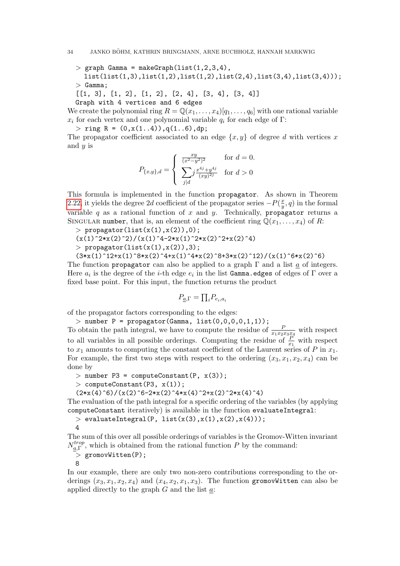34 JANKO BÖHM, KATHRIN BRINGMANN, ARNE BUCHHOLZ, HANNAH MARKWIG

 $>$  graph Gamma = makeGraph(list(1,2,3,4), list(list(1,3),list(1,2),list(1,2),list(2,4),list(3,4),list(3,4)));  $>$  Gamma;

 $[1, 3], [1, 2], [1, 2], [2, 4], [3, 4], [3, 4]$ Graph with 4 vertices and 6 edges

We create the polynomial ring  $R = \mathbb{Q}(x_1, \ldots, x_4)[q_1, \ldots, q_6]$  with one rational variable  $x_i$  for each vertex and one polynomial variable  $q_i$  for each edge of Γ:

 $>$  ring R =  $(0, x(1..4)), q(1..6), dp;$ 

The propagator coefficient associated to an edge  $\{x, y\}$  of degree d with vertices x and  $y$  is

$$
P_{\{x,y\},d} = \begin{cases} \frac{xy}{(x^2 - y^2)^2} & \text{for } d = 0. \\ \sum_{j|d} j \frac{x^{4j} + y^{4j}}{(xy)^{2j}} & \text{for } d > 0 \end{cases}
$$

This formula is implemented in the function propagator. As shown in Theorem [2.22,](#page-13-1) it yields the degree 2d coefficient of the propagator series  $-P(\frac{x}{n})$  $\frac{x}{y}$ , q) in the formal variable  $q$  as a rational function of  $x$  and  $y$ . Technically, propagator returns a SINGULAR number, that is, an element of the coefficient ring  $\mathbb{Q}(x_1, \ldots, x_4)$  of R:

 $>$  propagator(list(x(1),x(2)),0);

 $(x(1)^2^{*}x(2)^2)/(x(1)^4-2*x(1)^2*x(2)^2+x(2)^4)$ 

$$
> \text{ propagator}(\text{list}(x(1), x(2)), 3);
$$

 $(3*x(1)^12+x^2(1)^8*x(2)^4+x(1)^4*x(2)^8+3*x(2)^12)/(x(1)^6*x(2)^6)$ 

The function propagator can also be applied to a graph  $\Gamma$  and a list  $\underline{a}$  of integers. Here  $a_i$  is the degree of the *i*-th edge  $e_i$  in the list Gamma.edges of edges of  $\Gamma$  over a fixed base point. For this input, the function returns the product

$$
P_{\underline{a},\Gamma} = \prod_i P_{e_i,a_i}
$$

of the propagator factors corresponding to the edges:

 $>$  number P = propagator(Gamma, list(0,0,0,0,1,1)); To obtain the path integral, we have to compute the residue of  $\frac{P}{x_1x_2x_3x_4}$  with respect to all variables in all possible orderings. Computing the residue of  $\frac{P}{x_1}$  with respect to  $x_1$  amounts to computing the constant coefficient of the Laurent series of P in  $x_1$ . For example, the first two steps with respect to the ordering  $(x_3, x_1, x_2, x_4)$  can be done by

 $>$  number P3 = computeConstant(P,  $x(3)$ );

 $>$  computeConstant(P3,  $x(1)$ );

 $(2*x(4)^6)/(x(2)^6-2*x(2)^4*x(4)^2+x(2)^2*x(4)^4)$ 

The evaluation of the path integral for a specific ordering of the variables (by applying computeConstant iteratively) is available in the function evaluateIntegral:

 $>$  evaluateIntegral(P, list(x(3),x(1),x(2),x(4)));

```
4
```
The sum of this over all possible orderings of variables is the Gromov-Witten invariant  $N_a^{trop}$  $a_{a,\Gamma}^{trop}$ , which is obtained from the rational function P by the command:

> gromovWitten(P);

8

In our example, there are only two non-zero contributions corresponding to the orderings  $(x_3, x_1, x_2, x_4)$  and  $(x_4, x_2, x_1, x_3)$ . The function gromovWitten can also be applied directly to the graph  $G$  and the list  $a$ :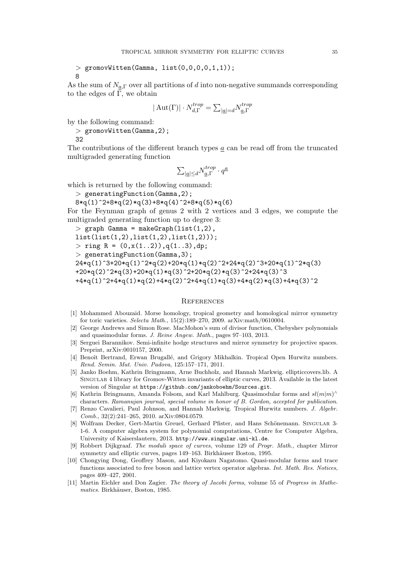```
> gromovWitten(Gamma, list(0,0,0,0,1,1));
8
```
As the sum of  $N_{a,\Gamma}$  over all partitions of d into non-negative summands corresponding to the edges of  $\Gamma$ , we obtain

$$
|\operatorname{Aut}(\Gamma)|\cdot N_{d,\Gamma}^{trop}=\sum_{|\underline{a}|=d}N_{\underline{a},\Gamma}^{trop}
$$

by the following command:

```
> gromovWitten(Gamma, 2);
32
```
The contributions of the different branch types a can be read off from the truncated multigraded generating function

$$
\textstyle \sum_{|\underline{a}| \leq d} N_{\underline{a},\Gamma}^{trop} \cdot q^{\underline{a}}
$$

which is returned by the following command:

> generatingFunction(Gamma,2);

8\*q(1)^2+8\*q(2)\*q(3)+8\*q(4)^2+8\*q(5)\*q(6)

For the Feynman graph of genus 2 with 2 vertices and 3 edges, we compute the multigraded generating function up to degree 3:

 $>$  graph Gamma = makeGraph(list(1,2),

list(list(1,2),list(1,2),list(1,2)));

 $>$  ring R =  $(0, x(1..2)), q(1..3), dp;$ 

$$
> \; \texttt{generatingFunction}(Gamma, 3) \, ;
$$

 $24*q(1)^3+20*q(1)^2*q(2)+20*q(1)*q(2)^2+24*q(2)^3+20*q(1)^2*q(3)$ +20\*q(2)^2\*q(3)+20\*q(1)\*q(3)^2+20\*q(2)\*q(3)^2+24\*q(3)^3  $+4*q(1)^2+4*q(1)*q(2)+4*q(2)^2+4*q(1)*q(3)+4*q(2)*q(3)+4*q(3)^2$ 

## <span id="page-34-1"></span>**REFERENCES**

- <span id="page-34-2"></span>[1] Mohammed Abouzaid. Morse homology, tropical geometry and homological mirror symmetry for toric varieties. Selecta Math., 15(2):189–270, 2009. arXiv:math/0610004.
- <span id="page-34-8"></span>[2] George Andrews and Simon Rose. MacMohon's sum of divisor function, Chebyshev polynomials and quasimodular forms. J. Reine Angew. Math., pages 97–103, 2013.
- <span id="page-34-3"></span>[3] Serguei Barannikov. Semi-infinite hodge structures and mirror symmetry for projective spaces. Preprint, arXiv:0010157, 2000.
- <span id="page-34-4"></span>[4] Benoît Bertrand, Erwan Brugallé, and Grigory Mikhalkin. Tropical Open Hurwitz numbers. Rend. Semin. Mat. Univ. Padova, 125:157–171, 2011.
- <span id="page-34-10"></span>[5] Janko Boehm, Kathrin Bringmann, Arne Buchholz, and Hannah Markwig. ellipticcovers.lib. A Singular 4 library for Gromov-Witten invariants of elliptic curves, 2013. Available in the latest version of Singular at https://github.com/jankoboehm/Sources.git.
- <span id="page-34-7"></span>[6] Kathrin Bringmann, Amanda Folsom, and Karl Mahlburg. Quasimodular forms and  $sl(m|m)$ <sup>^</sup> characters. Ramanujan journal, special volume in honor of B. Gordon, accepted for publication.
- <span id="page-34-5"></span>[7] Renzo Cavalieri, Paul Johnson, and Hannah Markwig. Tropical Hurwitz numbers. J. Algebr. Comb., 32(2):241–265, 2010. arXiv:0804.0579.
- <span id="page-34-11"></span>[8] Wolfram Decker, Gert-Martin Greuel, Gerhard Pfister, and Hans Schönemann. SINGULAR 3-1-6. A computer algebra system for polynomial computations, Centre for Computer Algebra, University of Kaiserslautern, 2013. http://www.singular.uni-kl.de.
- <span id="page-34-0"></span>[9] Robbert Dijkgraaf. The moduli space of curves, volume 129 of Progr. Math., chapter Mirror symmetry and elliptic curves, pages 149–163. Birkhäuser Boston, 1995.
- <span id="page-34-6"></span>[10] Chongying Dong, Geoffrey Mason, and Kiyokazu Nagatomo. Quasi-modular forms and trace functions associated to free boson and lattice vertex operator algebras. Int. Math. Res. Notices, pages 409–427, 2001.
- <span id="page-34-9"></span>[11] Martin Eichler and Don Zagier. The theory of Jacobi forms, volume 55 of Progress in Mathematics. Birkhäuser, Boston, 1985.